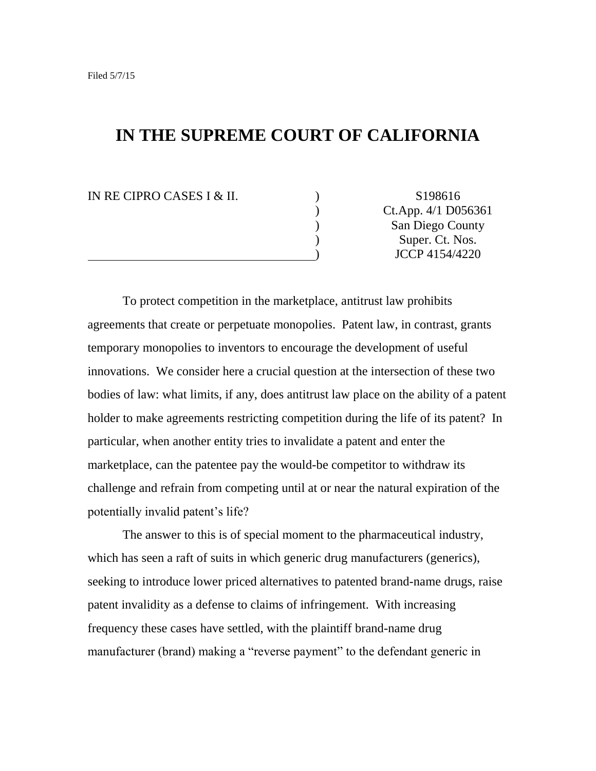# **IN THE SUPREME COURT OF CALIFORNIA**

IN RE CIPRO CASES I & II. ) S198616

) Ct.App. 4/1 D056361 ) San Diego County ) Super. Ct. Nos. ) JCCP 4154/4220

To protect competition in the marketplace, antitrust law prohibits agreements that create or perpetuate monopolies. Patent law, in contrast, grants temporary monopolies to inventors to encourage the development of useful innovations. We consider here a crucial question at the intersection of these two bodies of law: what limits, if any, does antitrust law place on the ability of a patent holder to make agreements restricting competition during the life of its patent? In particular, when another entity tries to invalidate a patent and enter the marketplace, can the patentee pay the would-be competitor to withdraw its challenge and refrain from competing until at or near the natural expiration of the potentially invalid patent's life?

The answer to this is of special moment to the pharmaceutical industry, which has seen a raft of suits in which generic drug manufacturers (generics), seeking to introduce lower priced alternatives to patented brand-name drugs, raise patent invalidity as a defense to claims of infringement. With increasing frequency these cases have settled, with the plaintiff brand-name drug manufacturer (brand) making a "reverse payment" to the defendant generic in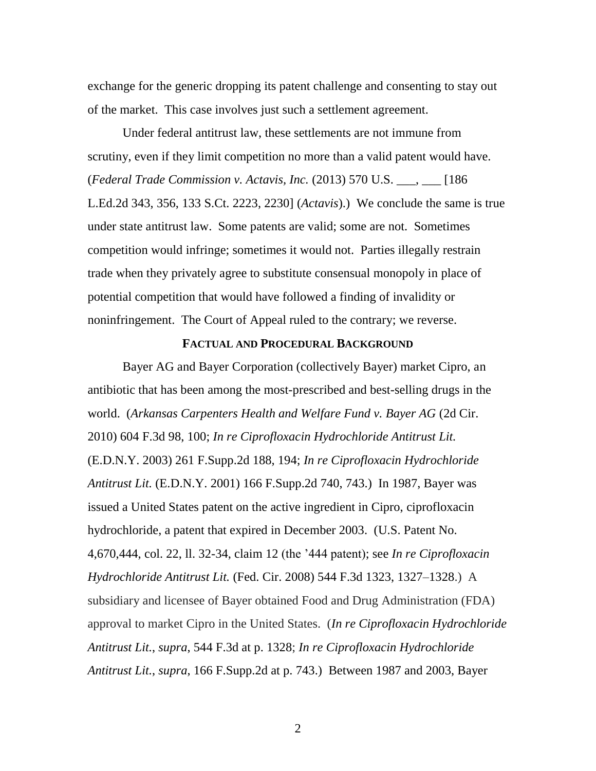exchange for the generic dropping its patent challenge and consenting to stay out of the market. This case involves just such a settlement agreement.

Under federal antitrust law, these settlements are not immune from scrutiny, even if they limit competition no more than a valid patent would have. (*Federal Trade Commission v. Actavis, Inc.* (2013) 570 U.S. \_\_\_, \_\_\_ [186 L.Ed.2d 343, 356, 133 S.Ct. 2223, 2230] (*Actavis*).) We conclude the same is true under state antitrust law. Some patents are valid; some are not. Sometimes competition would infringe; sometimes it would not. Parties illegally restrain trade when they privately agree to substitute consensual monopoly in place of potential competition that would have followed a finding of invalidity or noninfringement. The Court of Appeal ruled to the contrary; we reverse.

### **FACTUAL AND PROCEDURAL BACKGROUND**

Bayer AG and Bayer Corporation (collectively Bayer) market Cipro, an antibiotic that has been among the most-prescribed and best-selling drugs in the world. (*Arkansas Carpenters Health and Welfare Fund v. Bayer AG* (2d Cir. 2010) 604 F.3d 98, 100; *In re Ciprofloxacin Hydrochloride Antitrust Lit.* (E.D.N.Y. 2003) 261 F.Supp.2d 188, 194; *In re Ciprofloxacin Hydrochloride Antitrust Lit.* (E.D.N.Y. 2001) 166 F.Supp.2d 740, 743.) In 1987, Bayer was issued a United States patent on the active ingredient in Cipro, ciprofloxacin hydrochloride, a patent that expired in December 2003. (U.S. Patent No. 4,670,444, col. 22, ll. 32-34, claim 12 (the '444 patent); see *In re Ciprofloxacin Hydrochloride Antitrust Lit.* (Fed. Cir. 2008) 544 F.3d 1323, 1327–1328.) A subsidiary and licensee of Bayer obtained Food and Drug Administration (FDA) approval to market Cipro in the United States. (*In re Ciprofloxacin Hydrochloride Antitrust Lit.*, *supra*, 544 F.3d at p. 1328; *In re Ciprofloxacin Hydrochloride Antitrust Lit.*, *supra*, 166 F.Supp.2d at p. 743.) Between 1987 and 2003, Bayer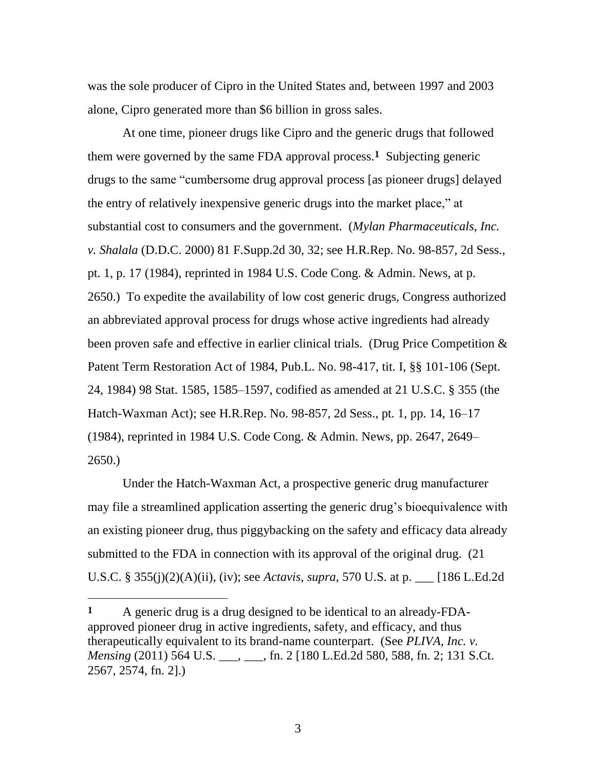was the sole producer of Cipro in the United States and, between 1997 and 2003 alone, Cipro generated more than \$6 billion in gross sales.

At one time, pioneer drugs like Cipro and the generic drugs that followed them were governed by the same FDA approval process.**1** Subjecting generic drugs to the same "cumbersome drug approval process [as pioneer drugs] delayed the entry of relatively inexpensive generic drugs into the market place," at substantial cost to consumers and the government. (*Mylan Pharmaceuticals, Inc. v. Shalala* (D.D.C. 2000) 81 F.Supp.2d 30, 32; see H.R.Rep. No. 98-857, 2d Sess., pt. 1, p. 17 (1984), reprinted in 1984 U.S. Code Cong. & Admin. News, at p. 2650.) To expedite the availability of low cost generic drugs, Congress authorized an abbreviated approval process for drugs whose active ingredients had already been proven safe and effective in earlier clinical trials. (Drug Price Competition & Patent Term Restoration Act of 1984, Pub.L. No. 98-417, tit. I, §§ 101-106 (Sept. 24, 1984) 98 Stat. 1585, 1585–1597, codified as amended at 21 U.S.C. § 355 (the Hatch-Waxman Act); see H.R.Rep. No. 98-857, 2d Sess., pt. 1, pp. 14, 16–17 (1984), reprinted in 1984 U.S. Code Cong. & Admin. News, pp. 2647, 2649– 2650.)

Under the Hatch-Waxman Act, a prospective generic drug manufacturer may file a streamlined application asserting the generic drug's bioequivalence with an existing pioneer drug, thus piggybacking on the safety and efficacy data already submitted to the FDA in connection with its approval of the original drug. (21 U.S.C. § 355(j)(2)(A)(ii), (iv); see *Actavis*, *supra*, 570 U.S. at p. \_\_\_ [186 L.Ed.2d

**<sup>1</sup>** A generic drug is a drug designed to be identical to an already-FDAapproved pioneer drug in active ingredients, safety, and efficacy, and thus therapeutically equivalent to its brand-name counterpart. (See *PLIVA, Inc. v. Mensing* (2011) 564 U.S. \_\_\_, \_\_\_, fn. 2 [180 L.Ed.2d 580, 588, fn. 2; 131 S.Ct. 2567, 2574, fn. 2].)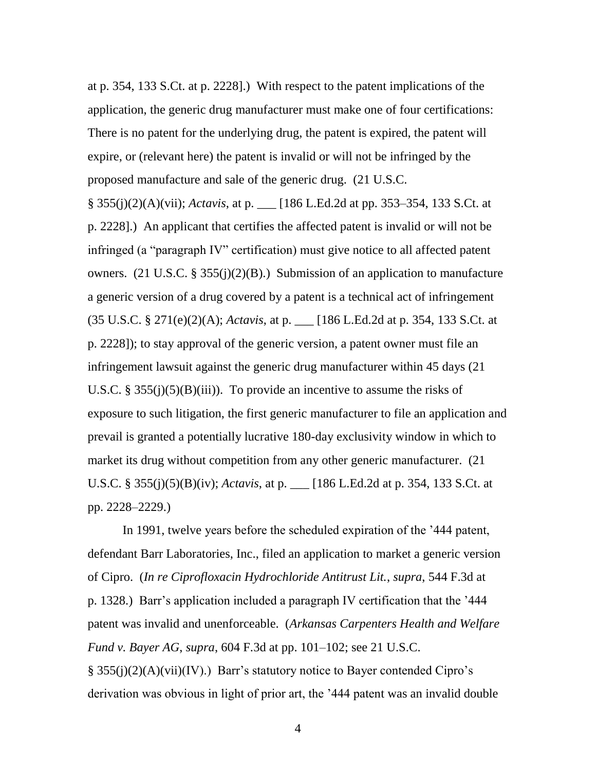at p. 354, 133 S.Ct. at p. 2228].) With respect to the patent implications of the application, the generic drug manufacturer must make one of four certifications: There is no patent for the underlying drug, the patent is expired, the patent will expire, or (relevant here) the patent is invalid or will not be infringed by the proposed manufacture and sale of the generic drug. (21 U.S.C.

§ 355(j)(2)(A)(vii); *Actavis*, at p. \_\_\_ [186 L.Ed.2d at pp. 353–354, 133 S.Ct. at p. 2228].) An applicant that certifies the affected patent is invalid or will not be infringed (a "paragraph IV" certification) must give notice to all affected patent owners. (21 U.S.C. § 355(j)(2)(B).) Submission of an application to manufacture a generic version of a drug covered by a patent is a technical act of infringement (35 U.S.C. § 271(e)(2)(A); *Actavis*, at p. \_\_\_ [186 L.Ed.2d at p. 354, 133 S.Ct. at p. 2228]); to stay approval of the generic version, a patent owner must file an infringement lawsuit against the generic drug manufacturer within 45 days (21 U.S.C. § 355(j)(5)(B)(iii)). To provide an incentive to assume the risks of exposure to such litigation, the first generic manufacturer to file an application and prevail is granted a potentially lucrative 180-day exclusivity window in which to market its drug without competition from any other generic manufacturer. (21 U.S.C. § 355(j)(5)(B)(iv); *Actavis*, at p. \_\_\_ [186 L.Ed.2d at p. 354, 133 S.Ct. at pp. 2228–2229.)

In 1991, twelve years before the scheduled expiration of the '444 patent, defendant Barr Laboratories, Inc., filed an application to market a generic version of Cipro. (*In re Ciprofloxacin Hydrochloride Antitrust Lit.*, *supra*, 544 F.3d at p. 1328.) Barr's application included a paragraph IV certification that the '444 patent was invalid and unenforceable. (*Arkansas Carpenters Health and Welfare Fund v. Bayer AG*, *supra*, 604 F.3d at pp. 101–102; see 21 U.S.C. § 355(j)(2)(A)(vii)(IV).) Barr's statutory notice to Bayer contended Cipro's derivation was obvious in light of prior art, the '444 patent was an invalid double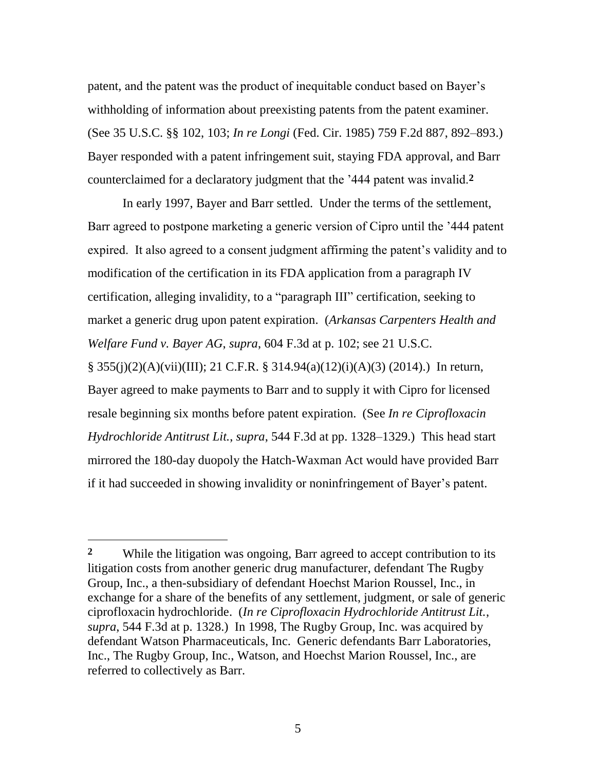patent, and the patent was the product of inequitable conduct based on Bayer's withholding of information about preexisting patents from the patent examiner. (See 35 U.S.C. §§ 102, 103; *In re Longi* (Fed. Cir. 1985) 759 F.2d 887, 892–893.) Bayer responded with a patent infringement suit, staying FDA approval, and Barr counterclaimed for a declaratory judgment that the '444 patent was invalid.**2**

In early 1997, Bayer and Barr settled. Under the terms of the settlement, Barr agreed to postpone marketing a generic version of Cipro until the '444 patent expired. It also agreed to a consent judgment affirming the patent's validity and to modification of the certification in its FDA application from a paragraph IV certification, alleging invalidity, to a "paragraph III" certification, seeking to market a generic drug upon patent expiration. (*Arkansas Carpenters Health and Welfare Fund v. Bayer AG*, *supra*, 604 F.3d at p. 102; see 21 U.S.C. § 355(j)(2)(A)(vii)(III); 21 C.F.R. § 314.94(a)(12)(i)(A)(3) (2014).) In return, Bayer agreed to make payments to Barr and to supply it with Cipro for licensed resale beginning six months before patent expiration. (See *In re Ciprofloxacin Hydrochloride Antitrust Lit.*, *supra*, 544 F.3d at pp. 1328–1329.) This head start mirrored the 180-day duopoly the Hatch-Waxman Act would have provided Barr if it had succeeded in showing invalidity or noninfringement of Bayer's patent.

 $\overline{a}$ 

**<sup>2</sup>** While the litigation was ongoing, Barr agreed to accept contribution to its litigation costs from another generic drug manufacturer, defendant The Rugby Group, Inc., a then-subsidiary of defendant Hoechst Marion Roussel, Inc., in exchange for a share of the benefits of any settlement, judgment, or sale of generic ciprofloxacin hydrochloride. (*In re Ciprofloxacin Hydrochloride Antitrust Lit.*, *supra*, 544 F.3d at p. 1328.) In 1998, The Rugby Group, Inc. was acquired by defendant Watson Pharmaceuticals, Inc. Generic defendants Barr Laboratories, Inc., The Rugby Group, Inc., Watson, and Hoechst Marion Roussel, Inc., are referred to collectively as Barr.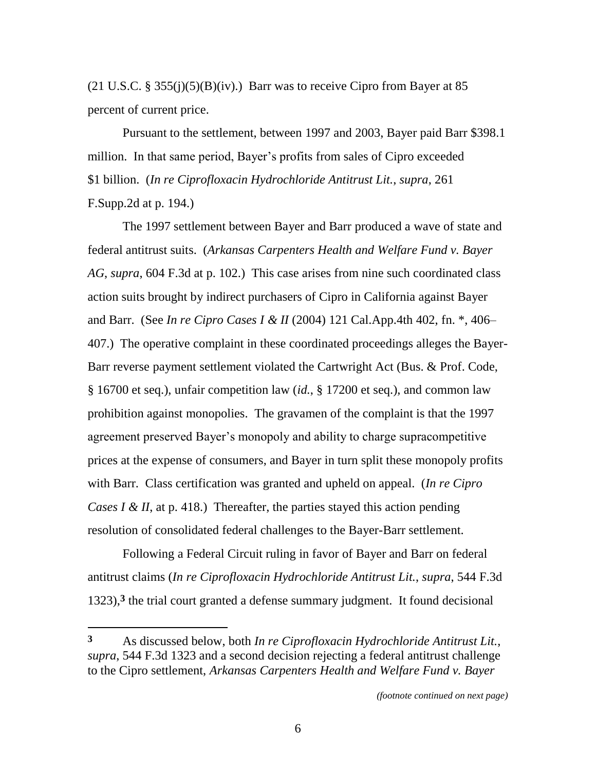$(21 \text{ U.S.C.} \S 355(i)(5)(B)(iv))$ . Barr was to receive Cipro from Bayer at 85 percent of current price.

Pursuant to the settlement, between 1997 and 2003, Bayer paid Barr \$398.1 million. In that same period, Bayer's profits from sales of Cipro exceeded \$1 billion. (*In re Ciprofloxacin Hydrochloride Antitrust Lit.*, *supra*, 261 F.Supp.2d at p. 194.)

The 1997 settlement between Bayer and Barr produced a wave of state and federal antitrust suits. (*Arkansas Carpenters Health and Welfare Fund v. Bayer AG*, *supra*, 604 F.3d at p. 102.) This case arises from nine such coordinated class action suits brought by indirect purchasers of Cipro in California against Bayer and Barr. (See *In re Cipro Cases I & II* (2004) 121 Cal.App.4th 402, fn. \*, 406– 407.) The operative complaint in these coordinated proceedings alleges the Bayer-Barr reverse payment settlement violated the Cartwright Act (Bus. & Prof. Code, § 16700 et seq.), unfair competition law (*id.*, § 17200 et seq.), and common law prohibition against monopolies. The gravamen of the complaint is that the 1997 agreement preserved Bayer's monopoly and ability to charge supracompetitive prices at the expense of consumers, and Bayer in turn split these monopoly profits with Barr. Class certification was granted and upheld on appeal. (*In re Cipro Cases I & II*, at p. 418.) Thereafter, the parties stayed this action pending resolution of consolidated federal challenges to the Bayer-Barr settlement.

Following a Federal Circuit ruling in favor of Bayer and Barr on federal antitrust claims (*In re Ciprofloxacin Hydrochloride Antitrust Lit.*, *supra*, 544 F.3d 1323),**3** the trial court granted a defense summary judgment. It found decisional

**<sup>3</sup>** As discussed below, both *In re Ciprofloxacin Hydrochloride Antitrust Lit.*, *supra*, 544 F.3d 1323 and a second decision rejecting a federal antitrust challenge to the Cipro settlement, *Arkansas Carpenters Health and Welfare Fund v. Bayer* 

*<sup>(</sup>footnote continued on next page)*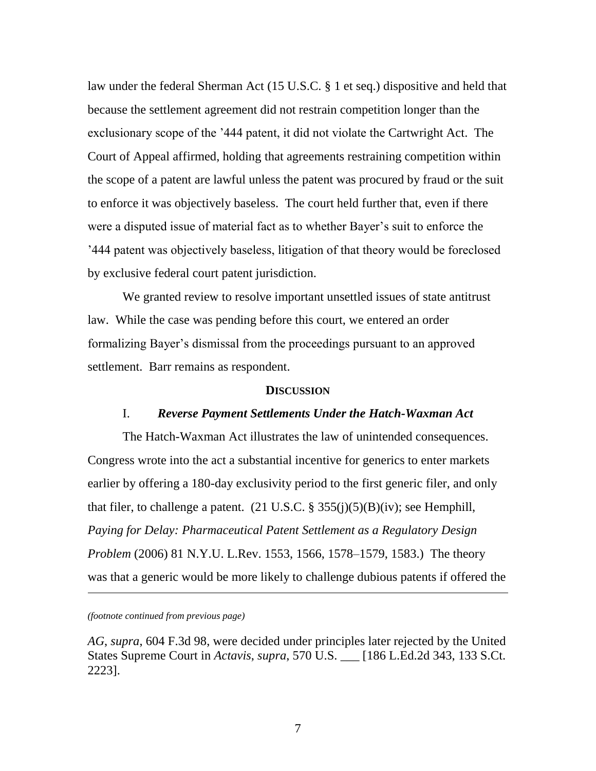law under the federal Sherman Act (15 U.S.C. § 1 et seq.) dispositive and held that because the settlement agreement did not restrain competition longer than the exclusionary scope of the '444 patent, it did not violate the Cartwright Act. The Court of Appeal affirmed, holding that agreements restraining competition within the scope of a patent are lawful unless the patent was procured by fraud or the suit to enforce it was objectively baseless. The court held further that, even if there were a disputed issue of material fact as to whether Bayer's suit to enforce the '444 patent was objectively baseless, litigation of that theory would be foreclosed by exclusive federal court patent jurisdiction.

We granted review to resolve important unsettled issues of state antitrust law. While the case was pending before this court, we entered an order formalizing Bayer's dismissal from the proceedings pursuant to an approved settlement. Barr remains as respondent.

### **DISCUSSION**

### I. *Reverse Payment Settlements Under the Hatch-Waxman Act*

The Hatch-Waxman Act illustrates the law of unintended consequences. Congress wrote into the act a substantial incentive for generics to enter markets earlier by offering a 180-day exclusivity period to the first generic filer, and only that filer, to challenge a patent. (21 U.S.C. § 355(j)(5)(B)(iv); see Hemphill, *Paying for Delay: Pharmaceutical Patent Settlement as a Regulatory Design Problem* (2006) 81 N.Y.U. L.Rev. 1553, 1566, 1578–1579, 1583.) The theory was that a generic would be more likely to challenge dubious patents if offered the

*(footnote continued from previous page)*

l

*AG*, *supra*, 604 F.3d 98, were decided under principles later rejected by the United States Supreme Court in *Actavis*, *supra*, 570 U.S. \_\_\_ [186 L.Ed.2d 343, 133 S.Ct. 2223].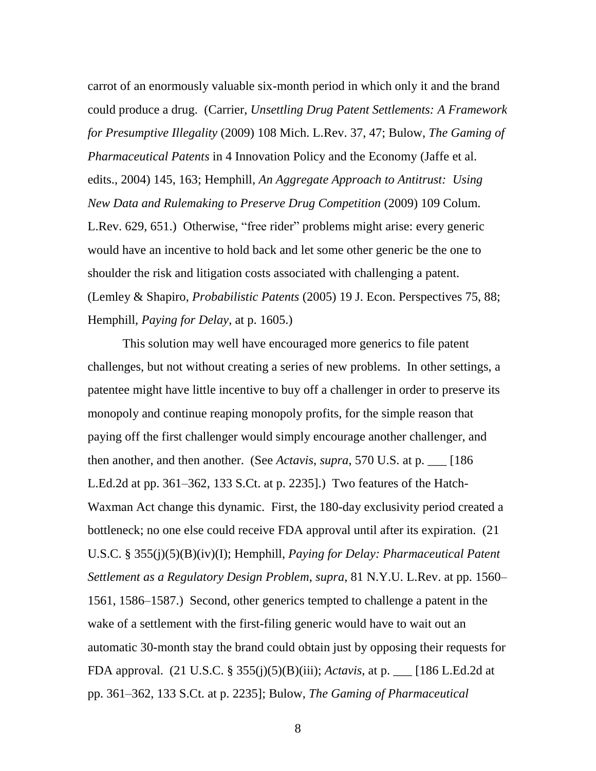carrot of an enormously valuable six-month period in which only it and the brand could produce a drug. (Carrier, *Unsettling Drug Patent Settlements: A Framework for Presumptive Illegality* (2009) 108 Mich. L.Rev. 37, 47; Bulow, *The Gaming of Pharmaceutical Patents* in 4 Innovation Policy and the Economy (Jaffe et al. edits., 2004) 145, 163; Hemphill, *An Aggregate Approach to Antitrust: Using New Data and Rulemaking to Preserve Drug Competition* (2009) 109 Colum. L.Rev. 629, 651.) Otherwise, "free rider" problems might arise: every generic would have an incentive to hold back and let some other generic be the one to shoulder the risk and litigation costs associated with challenging a patent. (Lemley & Shapiro, *Probabilistic Patents* (2005) 19 J. Econ. Perspectives 75, 88; Hemphill, *Paying for Delay*, at p. 1605.)

This solution may well have encouraged more generics to file patent challenges, but not without creating a series of new problems. In other settings, a patentee might have little incentive to buy off a challenger in order to preserve its monopoly and continue reaping monopoly profits, for the simple reason that paying off the first challenger would simply encourage another challenger, and then another, and then another. (See *Actavis*, *supra*, 570 U.S. at p. \_\_\_ [186 L.Ed.2d at pp. 361–362, 133 S.Ct. at p. 2235].) Two features of the Hatch-Waxman Act change this dynamic. First, the 180-day exclusivity period created a bottleneck; no one else could receive FDA approval until after its expiration. (21 U.S.C. § 355(j)(5)(B)(iv)(I); Hemphill, *Paying for Delay: Pharmaceutical Patent Settlement as a Regulatory Design Problem*, *supra*, 81 N.Y.U. L.Rev. at pp. 1560– 1561, 1586–1587.) Second, other generics tempted to challenge a patent in the wake of a settlement with the first-filing generic would have to wait out an automatic 30-month stay the brand could obtain just by opposing their requests for FDA approval. (21 U.S.C. § 355(j)(5)(B)(iii); *Actavis*, at p. \_\_\_ [186 L.Ed.2d at pp. 361–362, 133 S.Ct. at p. 2235]; Bulow, *The Gaming of Pharmaceutical*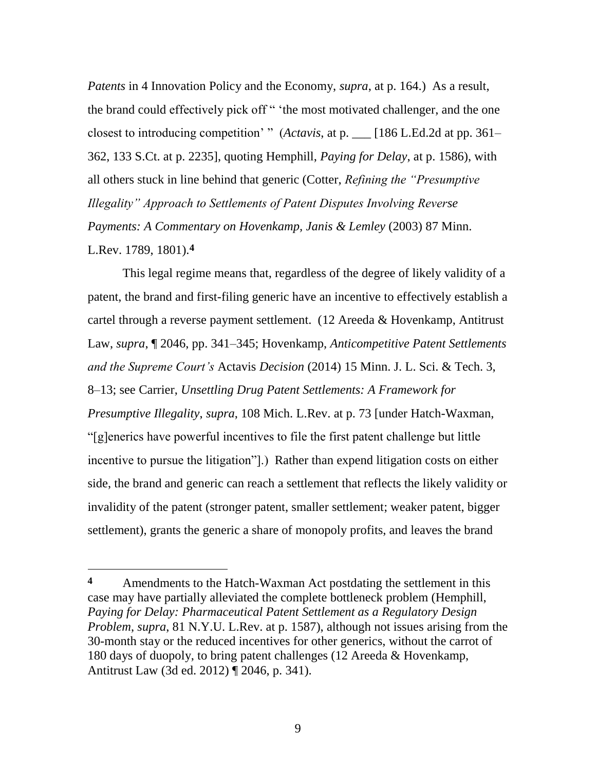*Patents* in 4 Innovation Policy and the Economy, *supra*, at p. 164.) As a result, the brand could effectively pick off " 'the most motivated challenger, and the one closest to introducing competition' " (*Actavis*, at p. \_\_ [186 L.Ed.2d at pp. 361– 362, 133 S.Ct. at p. 2235], quoting Hemphill, *Paying for Delay*, at p. 1586), with all others stuck in line behind that generic (Cotter, *Refining the "Presumptive Illegality" Approach to Settlements of Patent Disputes Involving Reverse Payments: A Commentary on Hovenkamp, Janis & Lemley* (2003) 87 Minn. L.Rev. 1789, 1801).**4**

This legal regime means that, regardless of the degree of likely validity of a patent, the brand and first-filing generic have an incentive to effectively establish a cartel through a reverse payment settlement. (12 Areeda & Hovenkamp, Antitrust Law, *supra*, ¶ 2046, pp. 341–345; Hovenkamp, *Anticompetitive Patent Settlements and the Supreme Court's* Actavis *Decision* (2014) 15 Minn. J. L. Sci. & Tech. 3, 8–13; see Carrier, *Unsettling Drug Patent Settlements: A Framework for Presumptive Illegality*, *supra*, 108 Mich. L.Rev. at p. 73 [under Hatch-Waxman, ―[g]enerics have powerful incentives to file the first patent challenge but little incentive to pursue the litigation". Rather than expend litigation costs on either side, the brand and generic can reach a settlement that reflects the likely validity or invalidity of the patent (stronger patent, smaller settlement; weaker patent, bigger settlement), grants the generic a share of monopoly profits, and leaves the brand

 $\overline{a}$ 

**<sup>4</sup>** Amendments to the Hatch-Waxman Act postdating the settlement in this case may have partially alleviated the complete bottleneck problem (Hemphill, *Paying for Delay: Pharmaceutical Patent Settlement as a Regulatory Design Problem*, *supra*, 81 N.Y.U. L.Rev. at p. 1587), although not issues arising from the 30-month stay or the reduced incentives for other generics, without the carrot of 180 days of duopoly, to bring patent challenges (12 Areeda & Hovenkamp, Antitrust Law (3d ed. 2012) ¶ 2046, p. 341).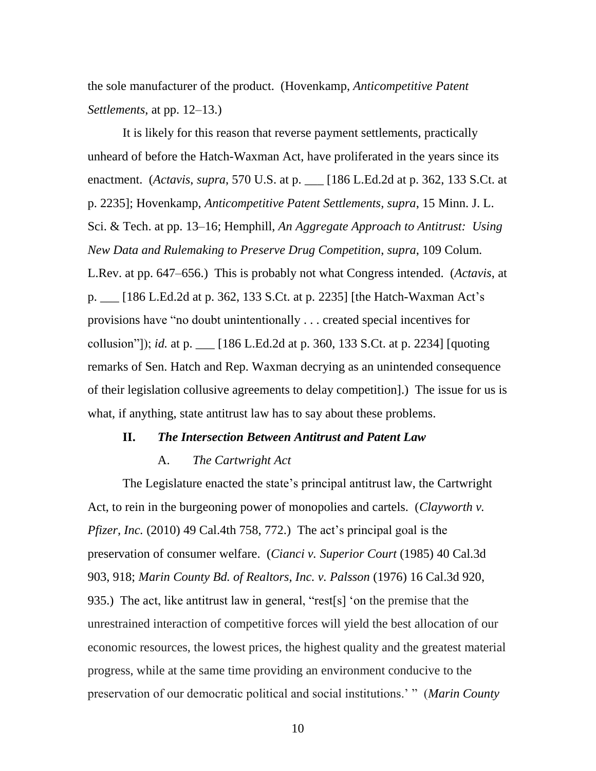the sole manufacturer of the product. (Hovenkamp, *Anticompetitive Patent Settlements*, at pp. 12–13.)

It is likely for this reason that reverse payment settlements, practically unheard of before the Hatch-Waxman Act, have proliferated in the years since its enactment. (*Actavis*, *supra*, 570 U.S. at p. \_\_\_ [186 L.Ed.2d at p. 362, 133 S.Ct. at p. 2235]; Hovenkamp, *Anticompetitive Patent Settlements, supra*, 15 Minn. J. L. Sci. & Tech. at pp. 13–16; Hemphill, *An Aggregate Approach to Antitrust: Using New Data and Rulemaking to Preserve Drug Competition*, *supra*, 109 Colum. L.Rev. at pp. 647–656.) This is probably not what Congress intended. (*Actavis*, at p. \_\_\_ [186 L.Ed.2d at p. 362, 133 S.Ct. at p. 2235] [the Hatch-Waxman Act's provisions have "no doubt unintentionally . . . created special incentives for collusion‖]); *id.* at p. \_\_\_ [186 L.Ed.2d at p. 360, 133 S.Ct. at p. 2234] [quoting remarks of Sen. Hatch and Rep. Waxman decrying as an unintended consequence of their legislation collusive agreements to delay competition].) The issue for us is what, if anything, state antitrust law has to say about these problems.

## **II.** *The Intersection Between Antitrust and Patent Law*

### A. *The Cartwright Act*

The Legislature enacted the state's principal antitrust law, the Cartwright Act, to rein in the burgeoning power of monopolies and cartels. (*Clayworth v. Pfizer, Inc.* (2010) 49 Cal.4th 758, 772.) The act's principal goal is the preservation of consumer welfare. (*Cianci v. Superior Court* (1985) 40 Cal.3d 903, 918; *Marin County Bd. of Realtors, Inc. v. Palsson* (1976) 16 Cal.3d 920, 935.) The act, like antitrust law in general, "rest[s] 'on the premise that the unrestrained interaction of competitive forces will yield the best allocation of our economic resources, the lowest prices, the highest quality and the greatest material progress, while at the same time providing an environment conducive to the preservation of our democratic political and social institutions.' " (Marin County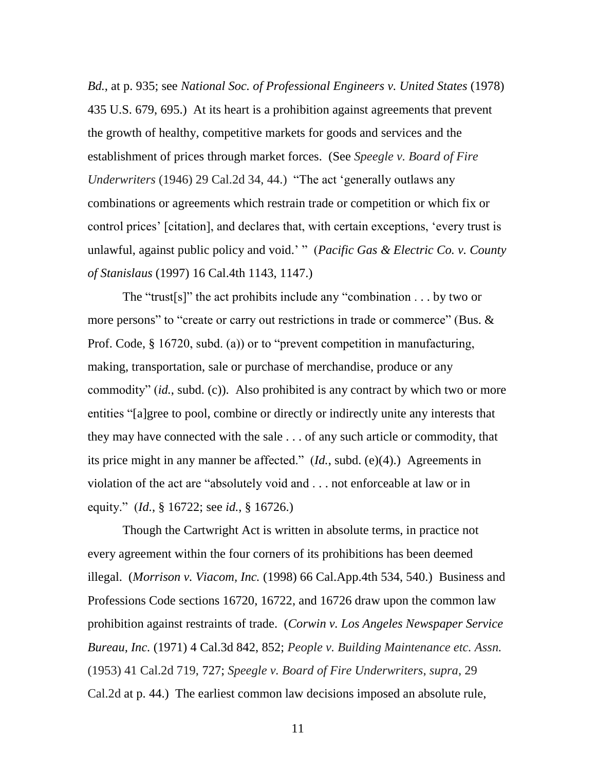*Bd.*, at p. 935; see *National Soc. of Professional Engineers v. United States* (1978) 435 U.S. 679, 695.) At its heart is a prohibition against agreements that prevent the growth of healthy, competitive markets for goods and services and the establishment of prices through market forces. (See *Speegle v. Board of Fire Underwriters* (1946) 29 Cal.2d 34, 44.) "The act 'generally outlaws any combinations or agreements which restrain trade or competition or which fix or control prices' [citation], and declares that, with certain exceptions, ‗every trust is unlawful, against public policy and void.' ‖ (*Pacific Gas & Electric Co. v. County of Stanislaus* (1997) 16 Cal.4th 1143, 1147.)

The "trust[s]" the act prohibits include any "combination  $\dots$  by two or more persons" to "create or carry out restrictions in trade or commerce" (Bus.  $\&$ Prof. Code,  $\S 16720$ , subd. (a)) or to "prevent competition in manufacturing, making, transportation, sale or purchase of merchandise, produce or any commodity" *(id., subd. (c)).* Also prohibited is any contract by which two or more entities "[a]gree to pool, combine or directly or indirectly unite any interests that they may have connected with the sale . . . of any such article or commodity, that its price might in any manner be affected." (*Id.*, subd. (e)(4).) Agreements in violation of the act are "absolutely void and . . . not enforceable at law or in equity.‖ (*Id.*, § 16722; see *id.*, § 16726.)

Though the Cartwright Act is written in absolute terms, in practice not every agreement within the four corners of its prohibitions has been deemed illegal. (*Morrison v. Viacom, Inc.* (1998) 66 Cal.App.4th 534, 540.) Business and Professions Code sections 16720, 16722, and 16726 draw upon the common law prohibition against restraints of trade. (*Corwin v. Los Angeles Newspaper Service Bureau, Inc.* (1971) 4 Cal.3d 842, 852; *People v. Building Maintenance etc. Assn.* (1953) 41 Cal.2d 719, 727; *Speegle v. Board of Fire Underwriters*, *supra*, 29 Cal.2d at p. 44.) The earliest common law decisions imposed an absolute rule,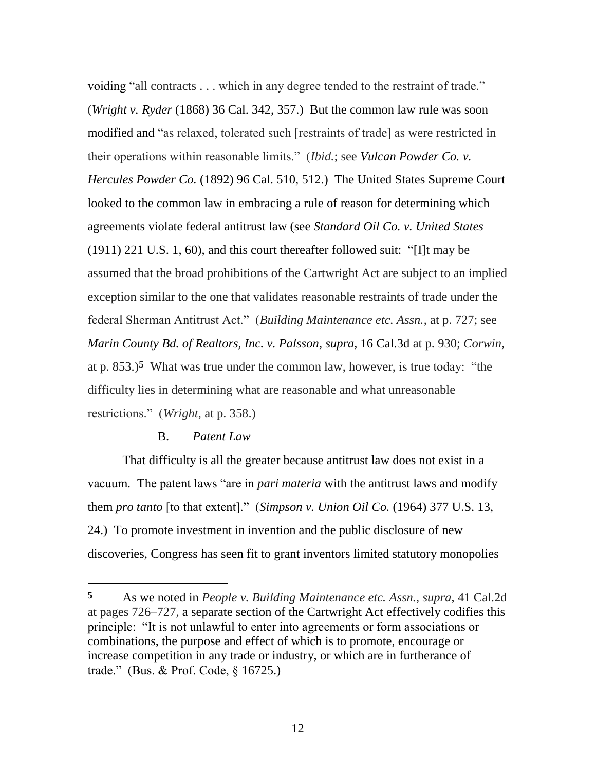voiding "all contracts . . . which in any degree tended to the restraint of trade." (*Wright v. Ryder* (1868) 36 Cal. 342, 357.) But the common law rule was soon modified and "as relaxed, tolerated such [restraints of trade] as were restricted in their operations within reasonable limits.‖ (*Ibid.*; see *Vulcan Powder Co. v. Hercules Powder Co.* (1892) 96 Cal. 510, 512.) The United States Supreme Court looked to the common law in embracing a rule of reason for determining which agreements violate federal antitrust law (see *Standard Oil Co. v. United States*  $(1911)$  221 U.S. 1, 60), and this court thereafter followed suit: "[I]t may be assumed that the broad prohibitions of the Cartwright Act are subject to an implied exception similar to the one that validates reasonable restraints of trade under the federal Sherman Antitrust Act.‖ (*Building Maintenance etc. Assn.*, at p. 727; see *Marin County Bd. of Realtors, Inc. v. Palsson*, *supra*, 16 Cal.3d at p. 930; *Corwin*, at p.  $853.$ <sup>5</sup> What was true under the common law, however, is true today: "the difficulty lies in determining what are reasonable and what unreasonable restrictions.‖ (*Wright*, at p. 358.)

### B. *Patent Law*

That difficulty is all the greater because antitrust law does not exist in a vacuum. The patent laws "are in *pari materia* with the antitrust laws and modify them *pro tanto* [to that extent].‖ (*Simpson v. Union Oil Co.* (1964) 377 U.S. 13, 24.) To promote investment in invention and the public disclosure of new discoveries, Congress has seen fit to grant inventors limited statutory monopolies

**<sup>5</sup>** As we noted in *People v. Building Maintenance etc. Assn.*, *supra*, 41 Cal.2d at pages 726–727, a separate section of the Cartwright Act effectively codifies this principle: "It is not unlawful to enter into agreements or form associations or combinations, the purpose and effect of which is to promote, encourage or increase competition in any trade or industry, or which are in furtherance of trade." (Bus. & Prof. Code,  $\S$  16725.)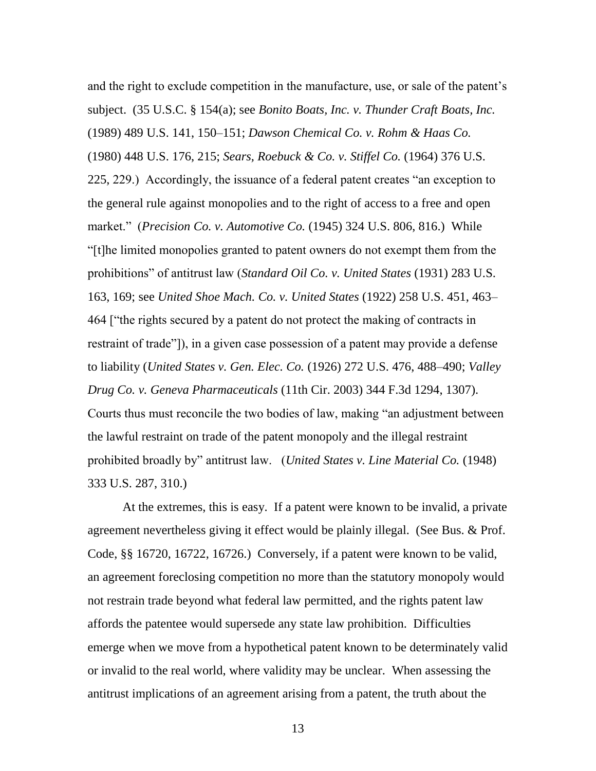and the right to exclude competition in the manufacture, use, or sale of the patent's subject. (35 U.S.C. § 154(a); see *Bonito Boats, Inc. v. Thunder Craft Boats, Inc.* (1989) 489 U.S. 141, 150–151; *Dawson Chemical Co. v. Rohm & Haas Co.* (1980) 448 U.S. 176, 215; *Sears, Roebuck & Co. v. Stiffel Co.* (1964) 376 U.S. 225, 229.) Accordingly, the issuance of a federal patent creates "an exception to the general rule against monopolies and to the right of access to a free and open market.‖ (*Precision Co. v. Automotive Co.* (1945) 324 U.S. 806, 816.) While ―[t]he limited monopolies granted to patent owners do not exempt them from the prohibitions‖ of antitrust law (*Standard Oil Co. v. United States* (1931) 283 U.S. 163, 169; see *United Shoe Mach. Co. v. United States* (1922) 258 U.S. 451, 463– 464 ["the rights secured by a patent do not protect the making of contracts in restraint of trade"]), in a given case possession of a patent may provide a defense to liability (*United States v. Gen. Elec. Co.* (1926) 272 U.S. 476, 488–490; *Valley Drug Co. v. Geneva Pharmaceuticals* (11th Cir. 2003) 344 F.3d 1294, 1307). Courts thus must reconcile the two bodies of law, making "an adjustment between" the lawful restraint on trade of the patent monopoly and the illegal restraint prohibited broadly by" antitrust law. (*United States v. Line Material Co.* (1948) 333 U.S. 287, 310.)

At the extremes, this is easy. If a patent were known to be invalid, a private agreement nevertheless giving it effect would be plainly illegal. (See Bus. & Prof. Code, §§ 16720, 16722, 16726.) Conversely, if a patent were known to be valid, an agreement foreclosing competition no more than the statutory monopoly would not restrain trade beyond what federal law permitted, and the rights patent law affords the patentee would supersede any state law prohibition. Difficulties emerge when we move from a hypothetical patent known to be determinately valid or invalid to the real world, where validity may be unclear. When assessing the antitrust implications of an agreement arising from a patent, the truth about the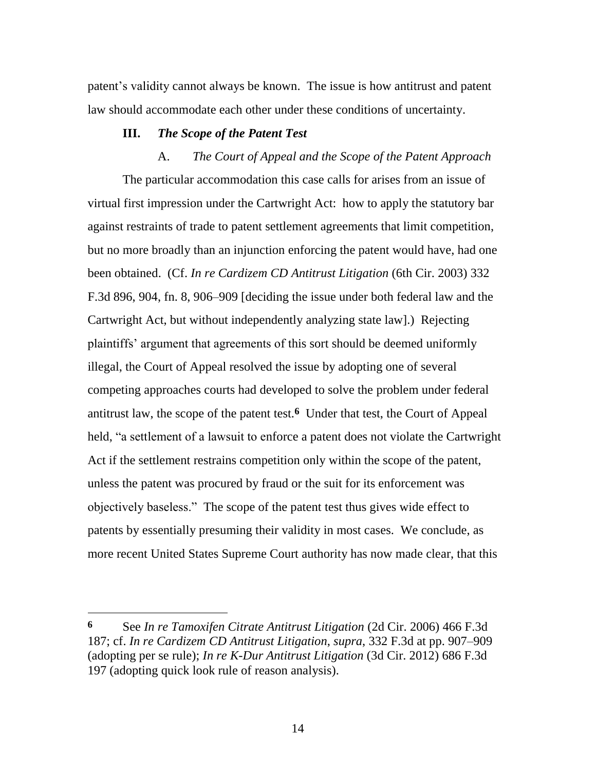patent's validity cannot always be known. The issue is how antitrust and patent law should accommodate each other under these conditions of uncertainty.

### **III.** *The Scope of the Patent Test*

A. *The Court of Appeal and the Scope of the Patent Approach* The particular accommodation this case calls for arises from an issue of virtual first impression under the Cartwright Act: how to apply the statutory bar against restraints of trade to patent settlement agreements that limit competition, but no more broadly than an injunction enforcing the patent would have, had one been obtained. (Cf. *In re Cardizem CD Antitrust Litigation* (6th Cir. 2003) 332 F.3d 896, 904, fn. 8, 906–909 [deciding the issue under both federal law and the Cartwright Act, but without independently analyzing state law].) Rejecting plaintiffs' argument that agreements of this sort should be deemed uniformly illegal, the Court of Appeal resolved the issue by adopting one of several competing approaches courts had developed to solve the problem under federal antitrust law, the scope of the patent test.**6** Under that test, the Court of Appeal held, "a settlement of a lawsuit to enforce a patent does not violate the Cartwright Act if the settlement restrains competition only within the scope of the patent, unless the patent was procured by fraud or the suit for its enforcement was objectively baseless.‖ The scope of the patent test thus gives wide effect to patents by essentially presuming their validity in most cases. We conclude, as more recent United States Supreme Court authority has now made clear, that this

**<sup>6</sup>** See *In re Tamoxifen Citrate Antitrust Litigation* (2d Cir. 2006) 466 F.3d 187; cf. *In re Cardizem CD Antitrust Litigation*, *supra*, 332 F.3d at pp. 907–909 (adopting per se rule); *In re K-Dur Antitrust Litigation* (3d Cir. 2012) 686 F.3d 197 (adopting quick look rule of reason analysis).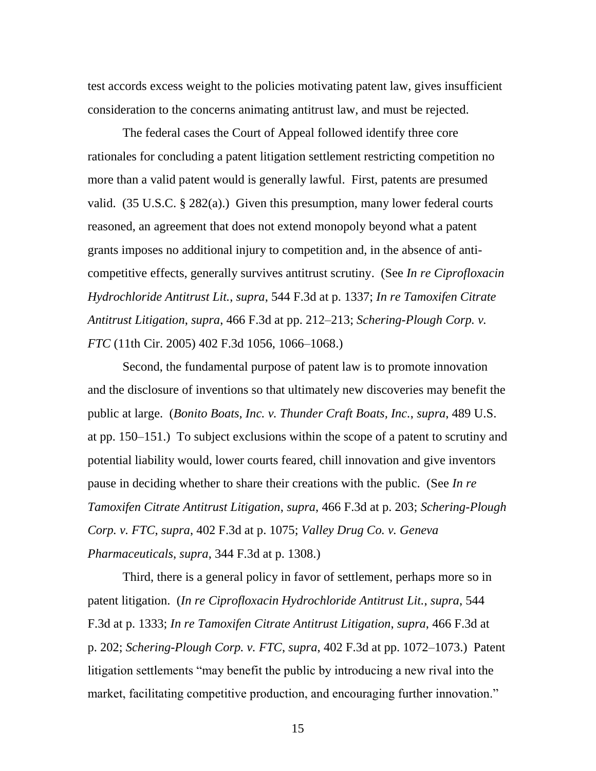test accords excess weight to the policies motivating patent law, gives insufficient consideration to the concerns animating antitrust law, and must be rejected.

The federal cases the Court of Appeal followed identify three core rationales for concluding a patent litigation settlement restricting competition no more than a valid patent would is generally lawful. First, patents are presumed valid. (35 U.S.C. § 282(a).) Given this presumption, many lower federal courts reasoned, an agreement that does not extend monopoly beyond what a patent grants imposes no additional injury to competition and, in the absence of anticompetitive effects, generally survives antitrust scrutiny. (See *In re Ciprofloxacin Hydrochloride Antitrust Lit.*, *supra*, 544 F.3d at p. 1337; *In re Tamoxifen Citrate Antitrust Litigation*, *supra*, 466 F.3d at pp. 212–213; *Schering-Plough Corp. v. FTC* (11th Cir. 2005) 402 F.3d 1056, 1066–1068.)

Second, the fundamental purpose of patent law is to promote innovation and the disclosure of inventions so that ultimately new discoveries may benefit the public at large. (*Bonito Boats, Inc. v. Thunder Craft Boats, Inc.*, *supra*, 489 U.S. at pp. 150–151.) To subject exclusions within the scope of a patent to scrutiny and potential liability would, lower courts feared, chill innovation and give inventors pause in deciding whether to share their creations with the public. (See *In re Tamoxifen Citrate Antitrust Litigation*, *supra*, 466 F.3d at p. 203; *Schering-Plough Corp. v. FTC*, *supra*, 402 F.3d at p. 1075; *Valley Drug Co. v. Geneva Pharmaceuticals*, *supra*, 344 F.3d at p. 1308.)

Third, there is a general policy in favor of settlement, perhaps more so in patent litigation. (*In re Ciprofloxacin Hydrochloride Antitrust Lit.*, *supra*, 544 F.3d at p. 1333; *In re Tamoxifen Citrate Antitrust Litigation*, *supra*, 466 F.3d at p. 202; *Schering-Plough Corp. v. FTC*, *supra*, 402 F.3d at pp. 1072–1073.) Patent litigation settlements "may benefit the public by introducing a new rival into the market, facilitating competitive production, and encouraging further innovation."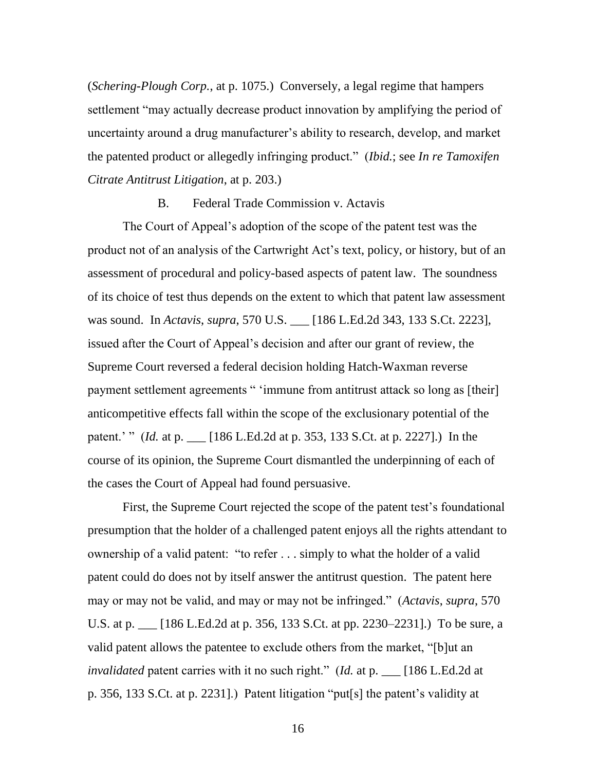(*Schering-Plough Corp.*, at p. 1075.) Conversely, a legal regime that hampers settlement "may actually decrease product innovation by amplifying the period of uncertainty around a drug manufacturer's ability to research, develop, and market the patented product or allegedly infringing product.‖ (*Ibid.*; see *In re Tamoxifen Citrate Antitrust Litigation*, at p. 203.)

B. Federal Trade Commission v. Actavis

The Court of Appeal's adoption of the scope of the patent test was the product not of an analysis of the Cartwright Act's text, policy, or history, but of an assessment of procedural and policy-based aspects of patent law. The soundness of its choice of test thus depends on the extent to which that patent law assessment was sound. In *Actavis*, *supra*, 570 U.S. \_\_\_ [186 L.Ed.2d 343, 133 S.Ct. 2223], issued after the Court of Appeal's decision and after our grant of review, the Supreme Court reversed a federal decision holding Hatch-Waxman reverse payment settlement agreements " 'immune from antitrust attack so long as [their] anticompetitive effects fall within the scope of the exclusionary potential of the patent.' " *(Id.* at p. \_\_ [186 L.Ed.2d at p. 353, 133 S.Ct. at p. 2227].) In the course of its opinion, the Supreme Court dismantled the underpinning of each of the cases the Court of Appeal had found persuasive.

First, the Supreme Court rejected the scope of the patent test's foundational presumption that the holder of a challenged patent enjoys all the rights attendant to ownership of a valid patent: "to refer . . . simply to what the holder of a valid patent could do does not by itself answer the antitrust question. The patent here may or may not be valid, and may or may not be infringed.‖ (*Actavis*, *supra*, 570 U.S. at p. \_\_\_ [186 L.Ed.2d at p. 356, 133 S.Ct. at pp. 2230–2231].) To be sure, a valid patent allows the patentee to exclude others from the market, "[b]ut an *invalidated* patent carries with it no such right." (*Id.* at p. \_\_ [186 L.Ed.2d at p. 356, 133 S.Ct. at p. 2231].) Patent litigation "put[s] the patent's validity at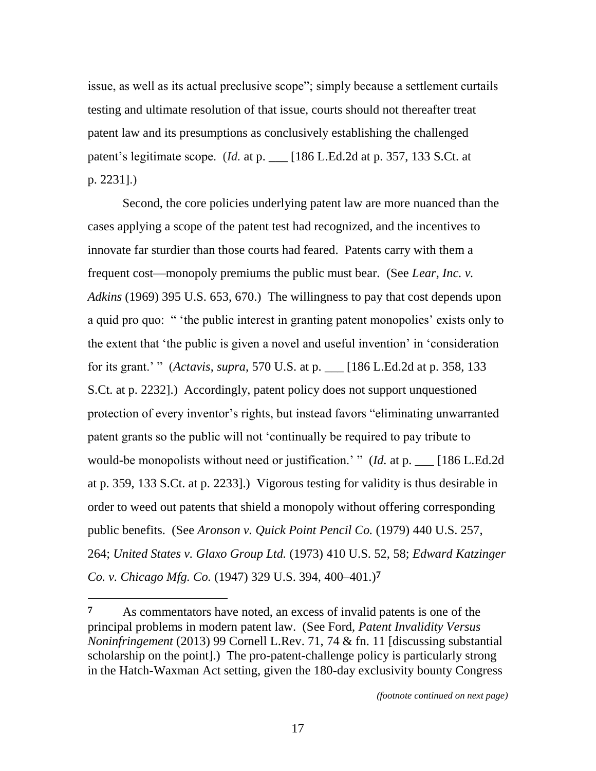issue, as well as its actual preclusive scope"; simply because a settlement curtails testing and ultimate resolution of that issue, courts should not thereafter treat patent law and its presumptions as conclusively establishing the challenged patent's legitimate scope. (*Id.* at p. \_\_ [186 L.Ed.2d at p. 357, 133 S.Ct. at p. 2231].)

Second, the core policies underlying patent law are more nuanced than the cases applying a scope of the patent test had recognized, and the incentives to innovate far sturdier than those courts had feared. Patents carry with them a frequent cost—monopoly premiums the public must bear. (See *Lear, Inc. v. Adkins* (1969) 395 U.S. 653, 670.) The willingness to pay that cost depends upon a quid pro quo: " 'the public interest in granting patent monopolies' exists only to the extent that 'the public is given a novel and useful invention' in 'consideration' for its grant.' ‖ (*Actavis*, *supra*, 570 U.S. at p. \_\_\_ [186 L.Ed.2d at p. 358, 133 S.Ct. at p. 2232].) Accordingly, patent policy does not support unquestioned protection of every inventor's rights, but instead favors "eliminating unwarranted patent grants so the public will not 'continually be required to pay tribute to would-be monopolists without need or justification.' " (*Id.* at p. \_\_ [186 L.Ed.2d at p. 359, 133 S.Ct. at p. 2233].) Vigorous testing for validity is thus desirable in order to weed out patents that shield a monopoly without offering corresponding public benefits. (See *Aronson v. Quick Point Pencil Co.* (1979) 440 U.S. 257, 264; *United States v. Glaxo Group Ltd.* (1973) 410 U.S. 52, 58; *Edward Katzinger Co. v. Chicago Mfg. Co.* (1947) 329 U.S. 394, 400–401.) **7**

**<sup>7</sup>** As commentators have noted, an excess of invalid patents is one of the principal problems in modern patent law. (See Ford, *Patent Invalidity Versus Noninfringement* (2013) 99 Cornell L.Rev. 71, 74 & fn. 11 [discussing substantial scholarship on the point].) The pro-patent-challenge policy is particularly strong in the Hatch-Waxman Act setting, given the 180-day exclusivity bounty Congress

*<sup>(</sup>footnote continued on next page)*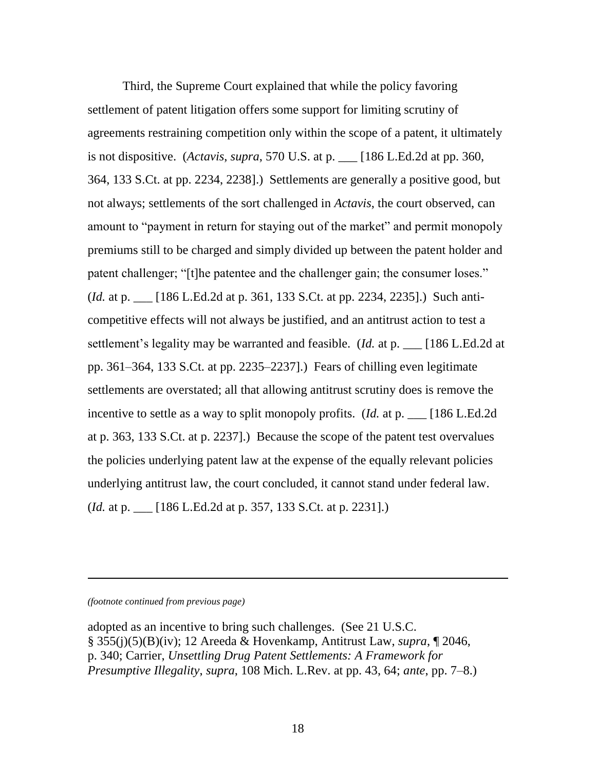Third, the Supreme Court explained that while the policy favoring settlement of patent litigation offers some support for limiting scrutiny of agreements restraining competition only within the scope of a patent, it ultimately is not dispositive. (*Actavis*, *supra*, 570 U.S. at p. \_\_\_ [186 L.Ed.2d at pp. 360, 364, 133 S.Ct. at pp. 2234, 2238].) Settlements are generally a positive good, but not always; settlements of the sort challenged in *Actavis*, the court observed, can amount to "payment in return for staying out of the market" and permit monopoly premiums still to be charged and simply divided up between the patent holder and patent challenger; "[t]he patentee and the challenger gain; the consumer loses." (*Id.* at p. \_\_\_ [186 L.Ed.2d at p. 361, 133 S.Ct. at pp. 2234, 2235].) Such anticompetitive effects will not always be justified, and an antitrust action to test a settlement's legality may be warranted and feasible. (*Id.* at p. \_\_\_ [186 L.Ed.2d at pp. 361–364, 133 S.Ct. at pp. 2235–2237].) Fears of chilling even legitimate settlements are overstated; all that allowing antitrust scrutiny does is remove the incentive to settle as a way to split monopoly profits. (*Id.* at p. \_\_\_ [186 L.Ed.2d at p. 363, 133 S.Ct. at p. 2237].) Because the scope of the patent test overvalues the policies underlying patent law at the expense of the equally relevant policies underlying antitrust law, the court concluded, it cannot stand under federal law. (*Id.* at p. \_\_\_ [186 L.Ed.2d at p. 357, 133 S.Ct. at p. 2231].)

*(footnote continued from previous page)*

l

adopted as an incentive to bring such challenges. (See 21 U.S.C. § 355(j)(5)(B)(iv); 12 Areeda & Hovenkamp, Antitrust Law, *supra*, ¶ 2046, p. 340; Carrier, *Unsettling Drug Patent Settlements: A Framework for Presumptive Illegality*, *supra*, 108 Mich. L.Rev. at pp. 43, 64; *ante*, pp. 7–8.)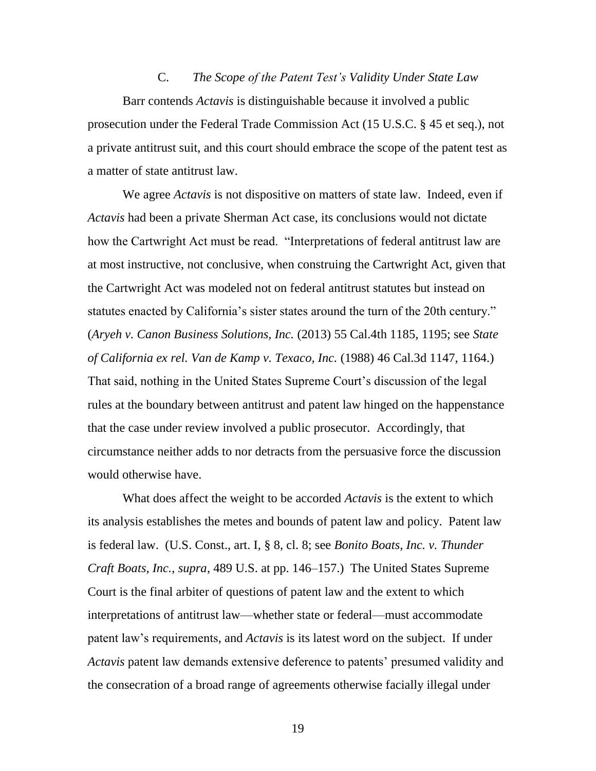C. *The Scope of the Patent Test's Validity Under State Law* Barr contends *Actavis* is distinguishable because it involved a public prosecution under the Federal Trade Commission Act (15 U.S.C. § 45 et seq.), not a private antitrust suit, and this court should embrace the scope of the patent test as a matter of state antitrust law.

We agree *Actavis* is not dispositive on matters of state law. Indeed, even if *Actavis* had been a private Sherman Act case, its conclusions would not dictate how the Cartwright Act must be read. "Interpretations of federal antitrust law are at most instructive, not conclusive, when construing the Cartwright Act, given that the Cartwright Act was modeled not on federal antitrust statutes but instead on statutes enacted by California's sister states around the turn of the 20th century." (*Aryeh v. Canon Business Solutions, Inc.* (2013) 55 Cal.4th 1185, 1195; see *State of California ex rel. Van de Kamp v. Texaco, Inc.* (1988) 46 Cal.3d 1147, 1164.) That said, nothing in the United States Supreme Court's discussion of the legal rules at the boundary between antitrust and patent law hinged on the happenstance that the case under review involved a public prosecutor. Accordingly, that circumstance neither adds to nor detracts from the persuasive force the discussion would otherwise have.

What does affect the weight to be accorded *Actavis* is the extent to which its analysis establishes the metes and bounds of patent law and policy. Patent law is federal law. (U.S. Const., art. I, § 8, cl. 8; see *Bonito Boats, Inc. v. Thunder Craft Boats, Inc.*, *supra*, 489 U.S. at pp. 146–157.) The United States Supreme Court is the final arbiter of questions of patent law and the extent to which interpretations of antitrust law—whether state or federal—must accommodate patent law's requirements, and *Actavis* is its latest word on the subject. If under *Actavis* patent law demands extensive deference to patents' presumed validity and the consecration of a broad range of agreements otherwise facially illegal under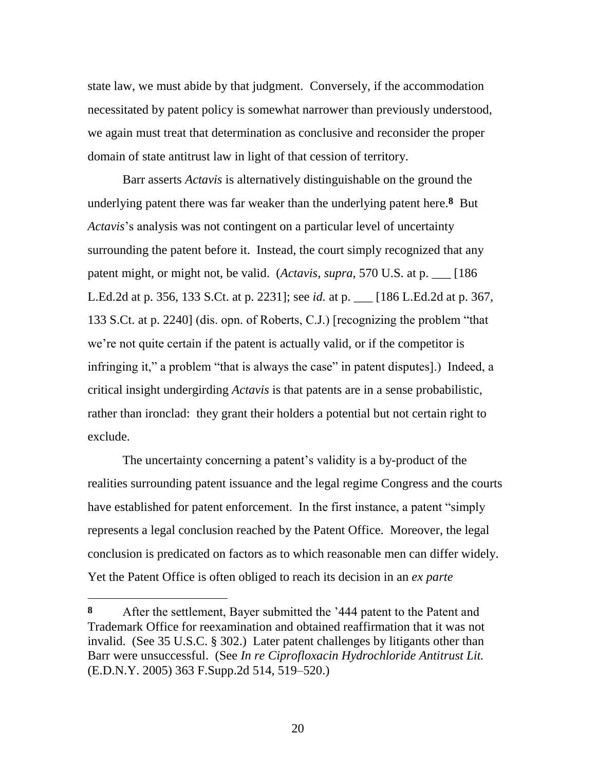state law, we must abide by that judgment. Conversely, if the accommodation necessitated by patent policy is somewhat narrower than previously understood, we again must treat that determination as conclusive and reconsider the proper domain of state antitrust law in light of that cession of territory.

Barr asserts *Actavis* is alternatively distinguishable on the ground the underlying patent there was far weaker than the underlying patent here.**8** But *Actavis*'s analysis was not contingent on a particular level of uncertainty surrounding the patent before it. Instead, the court simply recognized that any patent might, or might not, be valid. (*Actavis*, *supra*, 570 U.S. at p. \_\_\_ [186 L.Ed.2d at p. 356, 133 S.Ct. at p. 2231]; see *id.* at p. \_\_\_ [186 L.Ed.2d at p. 367, 133 S.Ct. at p. 2240] (dis. opn. of Roberts, C.J.) [recognizing the problem "that we're not quite certain if the patent is actually valid, or if the competitor is infringing it," a problem "that is always the case" in patent disputes].) Indeed, a critical insight undergirding *Actavis* is that patents are in a sense probabilistic, rather than ironclad: they grant their holders a potential but not certain right to exclude.

The uncertainty concerning a patent's validity is a by-product of the realities surrounding patent issuance and the legal regime Congress and the courts have established for patent enforcement. In the first instance, a patent "simply" represents a legal conclusion reached by the Patent Office. Moreover, the legal conclusion is predicated on factors as to which reasonable men can differ widely. Yet the Patent Office is often obliged to reach its decision in an *ex parte*

**<sup>8</sup>** After the settlement, Bayer submitted the '444 patent to the Patent and Trademark Office for reexamination and obtained reaffirmation that it was not invalid. (See 35 U.S.C. § 302.) Later patent challenges by litigants other than Barr were unsuccessful. (See *In re Ciprofloxacin Hydrochloride Antitrust Lit.* (E.D.N.Y. 2005) 363 F.Supp.2d 514, 519–520.)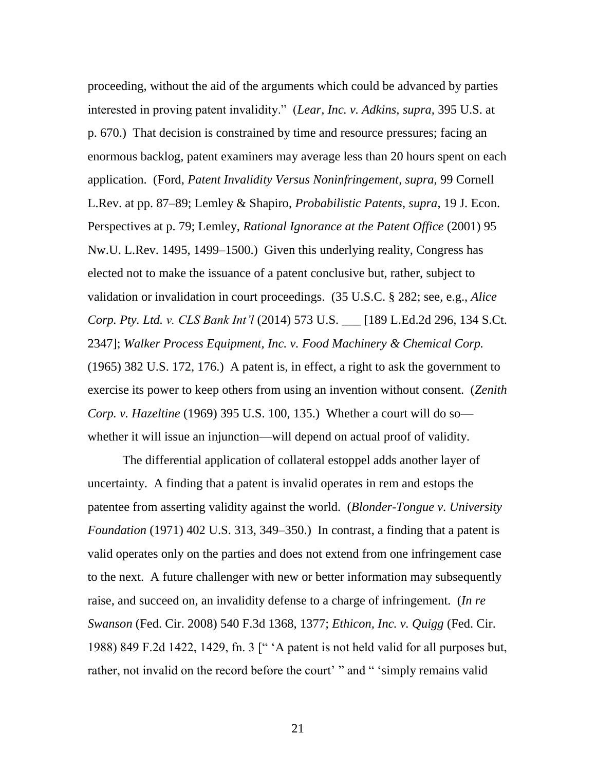proceeding, without the aid of the arguments which could be advanced by parties interested in proving patent invalidity.‖ (*Lear, Inc. v. Adkins, supra,* 395 U.S. at p. 670.) That decision is constrained by time and resource pressures; facing an enormous backlog, patent examiners may average less than 20 hours spent on each application. (Ford, *Patent Invalidity Versus Noninfringement*, *supra*, 99 Cornell L.Rev. at pp. 87–89; Lemley & Shapiro, *Probabilistic Patents*, *supra*, 19 J. Econ. Perspectives at p. 79; Lemley, *Rational Ignorance at the Patent Office* (2001) 95 Nw.U. L.Rev. 1495, 1499–1500.) Given this underlying reality, Congress has elected not to make the issuance of a patent conclusive but, rather, subject to validation or invalidation in court proceedings. (35 U.S.C. § 282; see, e.g., *Alice Corp. Pty. Ltd. v. CLS Bank Int'l* (2014) 573 U.S. \_\_\_ [189 L.Ed.2d 296, 134 S.Ct. 2347]; *Walker Process Equipment, Inc. v. Food Machinery & Chemical Corp.* (1965) 382 U.S. 172, 176.) A patent is, in effect, a right to ask the government to exercise its power to keep others from using an invention without consent. (*Zenith Corp. v. Hazeltine* (1969) 395 U.S. 100, 135.) Whether a court will do so whether it will issue an injunction—will depend on actual proof of validity.

The differential application of collateral estoppel adds another layer of uncertainty. A finding that a patent is invalid operates in rem and estops the patentee from asserting validity against the world. (*Blonder-Tongue v. University Foundation* (1971) 402 U.S. 313, 349–350.) In contrast, a finding that a patent is valid operates only on the parties and does not extend from one infringement case to the next. A future challenger with new or better information may subsequently raise, and succeed on, an invalidity defense to a charge of infringement. (*In re Swanson* (Fed. Cir. 2008) 540 F.3d 1368, 1377; *Ethicon, Inc. v. Quigg* (Fed. Cir. 1988) 849 F.2d 1422, 1429, fn. 3  $\vert$ <sup>"</sup>  $\vert$ A patent is not held valid for all purposes but, rather, not invalid on the record before the court' " and " 'simply remains valid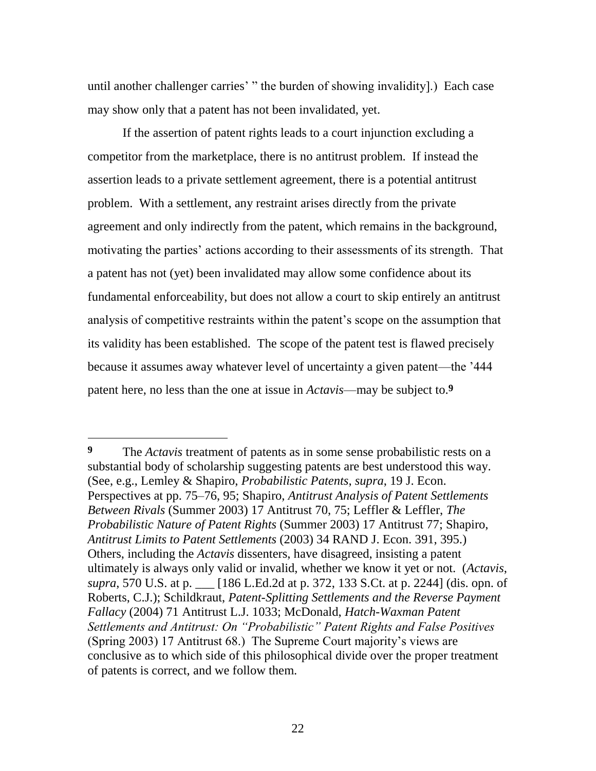until another challenger carries' " the burden of showing invalidity].) Each case may show only that a patent has not been invalidated, yet.

If the assertion of patent rights leads to a court injunction excluding a competitor from the marketplace, there is no antitrust problem. If instead the assertion leads to a private settlement agreement, there is a potential antitrust problem. With a settlement, any restraint arises directly from the private agreement and only indirectly from the patent, which remains in the background, motivating the parties' actions according to their assessments of its strength. That a patent has not (yet) been invalidated may allow some confidence about its fundamental enforceability, but does not allow a court to skip entirely an antitrust analysis of competitive restraints within the patent's scope on the assumption that its validity has been established. The scope of the patent test is flawed precisely because it assumes away whatever level of uncertainty a given patent—the '444 patent here, no less than the one at issue in *Actavis*—may be subject to.**9**

 $\overline{a}$ 

**<sup>9</sup>** The *Actavis* treatment of patents as in some sense probabilistic rests on a substantial body of scholarship suggesting patents are best understood this way. (See, e.g., Lemley & Shapiro, *Probabilistic Patents*, *supra*, 19 J. Econ. Perspectives at pp. 75–76, 95; Shapiro, *Antitrust Analysis of Patent Settlements Between Rivals* (Summer 2003) 17 Antitrust 70, 75; Leffler & Leffler, *The Probabilistic Nature of Patent Rights* (Summer 2003) 17 Antitrust 77; Shapiro, *Antitrust Limits to Patent Settlements* (2003) 34 RAND J. Econ. 391, 395.) Others, including the *Actavis* dissenters, have disagreed, insisting a patent ultimately is always only valid or invalid, whether we know it yet or not. (*Actavis*, *supra*, 570 U.S. at p. \_\_\_ [186 L.Ed.2d at p. 372, 133 S.Ct. at p. 2244] (dis. opn. of Roberts, C.J.); Schildkraut, *Patent-Splitting Settlements and the Reverse Payment Fallacy* (2004) 71 Antitrust L.J. 1033; McDonald, *Hatch-Waxman Patent Settlements and Antitrust: On "Probabilistic" Patent Rights and False Positives* (Spring 2003) 17 Antitrust 68.) The Supreme Court majority's views are conclusive as to which side of this philosophical divide over the proper treatment of patents is correct, and we follow them.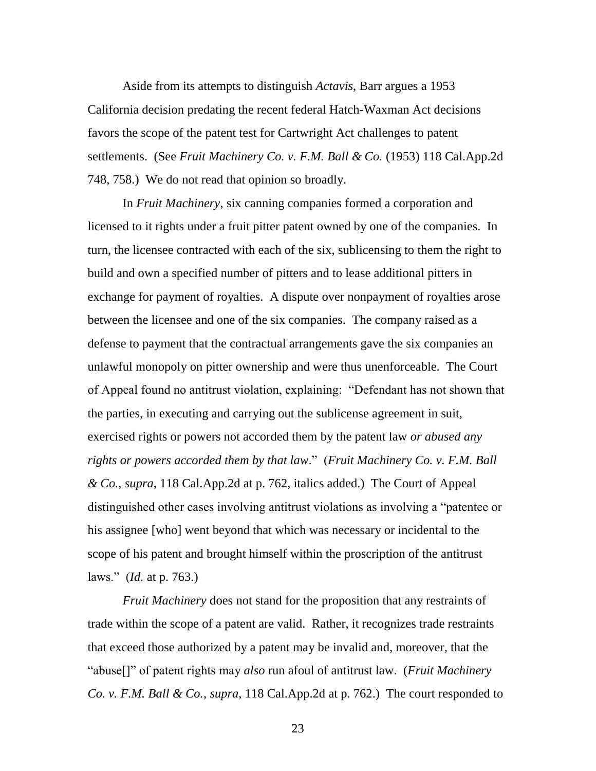Aside from its attempts to distinguish *Actavis*, Barr argues a 1953 California decision predating the recent federal Hatch-Waxman Act decisions favors the scope of the patent test for Cartwright Act challenges to patent settlements. (See *Fruit Machinery Co. v. F.M. Ball & Co.* (1953) 118 Cal.App.2d 748, 758.) We do not read that opinion so broadly.

In *Fruit Machinery*, six canning companies formed a corporation and licensed to it rights under a fruit pitter patent owned by one of the companies. In turn, the licensee contracted with each of the six, sublicensing to them the right to build and own a specified number of pitters and to lease additional pitters in exchange for payment of royalties. A dispute over nonpayment of royalties arose between the licensee and one of the six companies. The company raised as a defense to payment that the contractual arrangements gave the six companies an unlawful monopoly on pitter ownership and were thus unenforceable. The Court of Appeal found no antitrust violation, explaining: "Defendant has not shown that the parties, in executing and carrying out the sublicense agreement in suit, exercised rights or powers not accorded them by the patent law *or abused any rights or powers accorded them by that law*.‖ (*Fruit Machinery Co. v. F.M. Ball & Co.*, *supra*, 118 Cal.App.2d at p. 762, italics added.) The Court of Appeal distinguished other cases involving antitrust violations as involving a "patentee or his assignee [who] went beyond that which was necessary or incidental to the scope of his patent and brought himself within the proscription of the antitrust laws.‖ (*Id.* at p. 763.)

*Fruit Machinery* does not stand for the proposition that any restraints of trade within the scope of a patent are valid. Rather, it recognizes trade restraints that exceed those authorized by a patent may be invalid and, moreover, that the "abuse[]" of patent rights may *also* run afoul of antitrust law. (*Fruit Machinery Co. v. F.M. Ball & Co.*, *supra*, 118 Cal.App.2d at p. 762.) The court responded to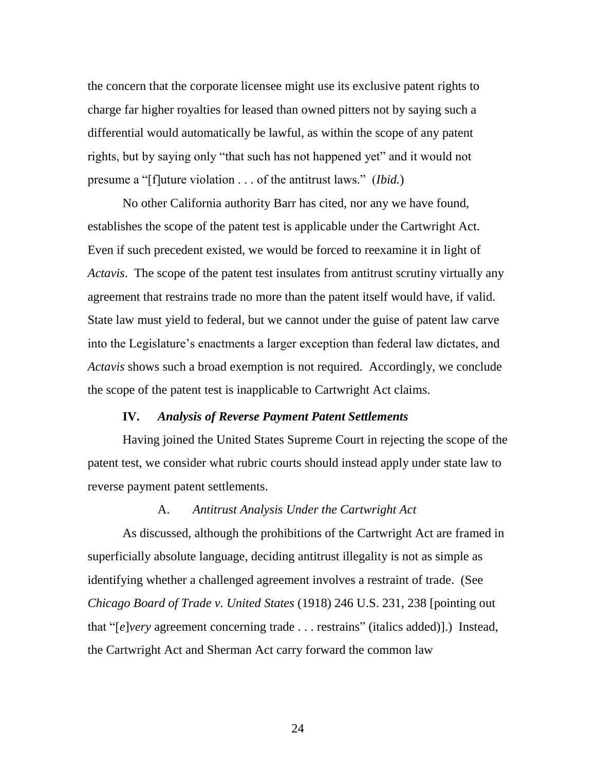the concern that the corporate licensee might use its exclusive patent rights to charge far higher royalties for leased than owned pitters not by saying such a differential would automatically be lawful, as within the scope of any patent rights, but by saying only "that such has not happened yet" and it would not presume a "[f]uture violation . . . of the antitrust laws." *(Ibid.)* 

No other California authority Barr has cited, nor any we have found, establishes the scope of the patent test is applicable under the Cartwright Act. Even if such precedent existed, we would be forced to reexamine it in light of *Actavis*. The scope of the patent test insulates from antitrust scrutiny virtually any agreement that restrains trade no more than the patent itself would have, if valid. State law must yield to federal, but we cannot under the guise of patent law carve into the Legislature's enactments a larger exception than federal law dictates, and *Actavis* shows such a broad exemption is not required. Accordingly, we conclude the scope of the patent test is inapplicable to Cartwright Act claims.

### **IV.** *Analysis of Reverse Payment Patent Settlements*

Having joined the United States Supreme Court in rejecting the scope of the patent test, we consider what rubric courts should instead apply under state law to reverse payment patent settlements.

### A. *Antitrust Analysis Under the Cartwright Act*

As discussed, although the prohibitions of the Cartwright Act are framed in superficially absolute language, deciding antitrust illegality is not as simple as identifying whether a challenged agreement involves a restraint of trade. (See *Chicago Board of Trade v. United States* (1918) 246 U.S. 231, 238 [pointing out that "[*e*]*very* agreement concerning trade . . . restrains" (italics added)].) Instead, the Cartwright Act and Sherman Act carry forward the common law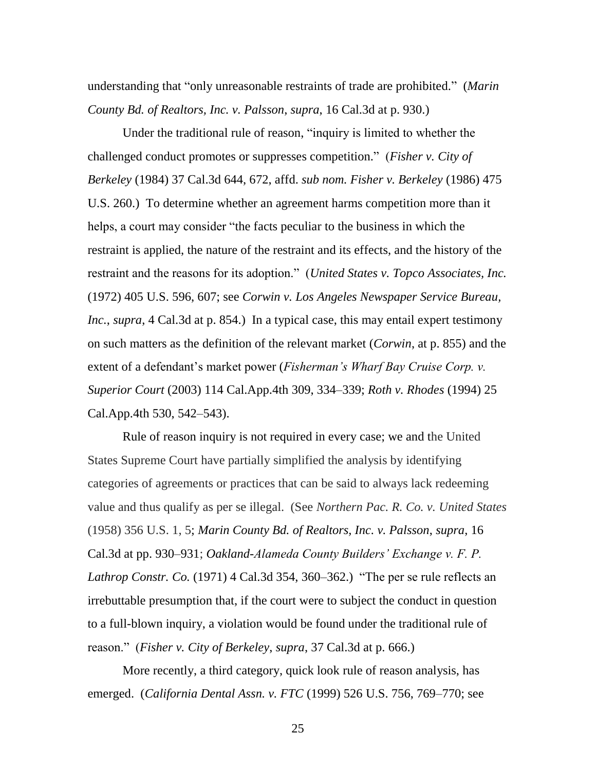understanding that "only unreasonable restraints of trade are prohibited." (*Marin County Bd. of Realtors, Inc. v. Palsson*, *supra*, 16 Cal.3d at p. 930.)

Under the traditional rule of reason, "inquiry is limited to whether the challenged conduct promotes or suppresses competition.‖ (*Fisher v. City of Berkeley* (1984) 37 Cal.3d 644, 672, affd. *sub nom. Fisher v. Berkeley* (1986) 475 U.S. 260.) To determine whether an agreement harms competition more than it helps, a court may consider "the facts peculiar to the business in which the restraint is applied, the nature of the restraint and its effects, and the history of the restraint and the reasons for its adoption." (*United States v. Topco Associates, Inc.* (1972) 405 U.S. 596, 607; see *Corwin v. Los Angeles Newspaper Service Bureau, Inc.*, *supra*, 4 Cal.3d at p. 854.) In a typical case, this may entail expert testimony on such matters as the definition of the relevant market (*Corwin*, at p. 855) and the extent of a defendant's market power (*Fisherman's Wharf Bay Cruise Corp. v. Superior Court* (2003) 114 Cal.App.4th 309, 334–339; *Roth v. Rhodes* (1994) 25 Cal.App.4th 530, 542–543).

Rule of reason inquiry is not required in every case; we and the United States Supreme Court have partially simplified the analysis by identifying categories of agreements or practices that can be said to always lack redeeming value and thus qualify as per se illegal. (See *Northern Pac. R. Co. v. United States* (1958) 356 U.S. 1, 5; *Marin County Bd. of Realtors, Inc. v. Palsson*, *supra*, 16 Cal.3d at pp. 930–931; *Oakland-Alameda County Builders' Exchange v. F. P. Lathrop Constr. Co.* (1971) 4 Cal.3d 354, 360–362.) "The per se rule reflects an irrebuttable presumption that, if the court were to subject the conduct in question to a full-blown inquiry, a violation would be found under the traditional rule of reason.‖ (*Fisher v. City of Berkeley*, *supra*, 37 Cal.3d at p. 666.)

More recently, a third category, quick look rule of reason analysis, has emerged. (*California Dental Assn. v. FTC* (1999) 526 U.S. 756, 769–770; see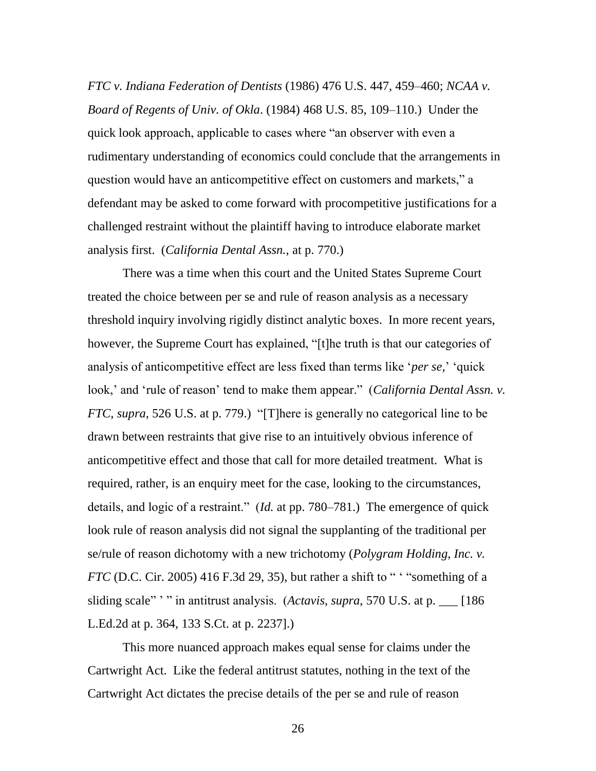*FTC v. Indiana Federation of Dentists* (1986) 476 U.S. 447, 459–460; *NCAA v. Board of Regents of Univ. of Okla*. (1984) 468 U.S. 85, 109–110.) Under the quick look approach, applicable to cases where "an observer with even a rudimentary understanding of economics could conclude that the arrangements in question would have an anticompetitive effect on customers and markets," a defendant may be asked to come forward with procompetitive justifications for a challenged restraint without the plaintiff having to introduce elaborate market analysis first. (*California Dental Assn.*, at p. 770.)

There was a time when this court and the United States Supreme Court treated the choice between per se and rule of reason analysis as a necessary threshold inquiry involving rigidly distinct analytic boxes. In more recent years, however, the Supreme Court has explained, "[t]he truth is that our categories of analysis of anticompetitive effect are less fixed than terms like *'per se*,' 'quick look,' and 'rule of reason' tend to make them appear." (California Dental Assn. v. *FTC*, *supra*, 526 U.S. at p. 779.) "[T]here is generally no categorical line to be drawn between restraints that give rise to an intuitively obvious inference of anticompetitive effect and those that call for more detailed treatment. What is required, rather, is an enquiry meet for the case, looking to the circumstances, details, and logic of a restraint." (*Id.* at pp. 780–781.) The emergence of quick look rule of reason analysis did not signal the supplanting of the traditional per se/rule of reason dichotomy with a new trichotomy (*Polygram Holding, Inc. v. FTC* (D.C. Cir. 2005) 416 F.3d 29, 35), but rather a shift to " $\cdot$  "something of a sliding scale" '" in antitrust analysis. (*Actavis*, *supra*, 570 U.S. at p. [186] L.Ed.2d at p. 364, 133 S.Ct. at p. 2237].)

This more nuanced approach makes equal sense for claims under the Cartwright Act. Like the federal antitrust statutes, nothing in the text of the Cartwright Act dictates the precise details of the per se and rule of reason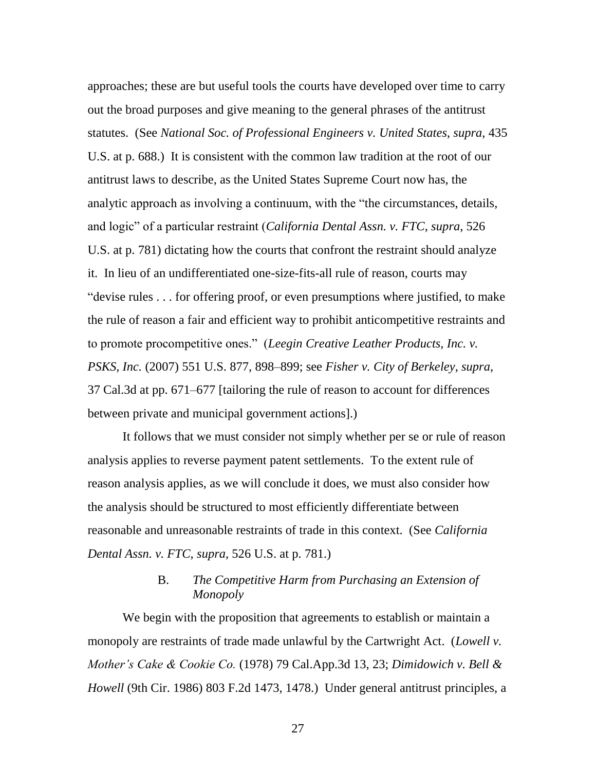approaches; these are but useful tools the courts have developed over time to carry out the broad purposes and give meaning to the general phrases of the antitrust statutes. (See *National Soc. of Professional Engineers v. United States*, *supra*, 435 U.S. at p. 688.) It is consistent with the common law tradition at the root of our antitrust laws to describe, as the United States Supreme Court now has, the analytic approach as involving a continuum, with the "the circumstances, details, and logic" of a particular restraint (*California Dental Assn. v. FTC*, *supra*, 526 U.S. at p. 781) dictating how the courts that confront the restraint should analyze it. In lieu of an undifferentiated one-size-fits-all rule of reason, courts may "devise rules  $\dots$  for offering proof, or even presumptions where justified, to make the rule of reason a fair and efficient way to prohibit anticompetitive restraints and to promote procompetitive ones.‖ (*Leegin Creative Leather Products, Inc. v. PSKS, Inc.* (2007) 551 U.S. 877, 898–899; see *Fisher v. City of Berkeley*, *supra*, 37 Cal.3d at pp. 671–677 [tailoring the rule of reason to account for differences between private and municipal government actions].)

It follows that we must consider not simply whether per se or rule of reason analysis applies to reverse payment patent settlements. To the extent rule of reason analysis applies, as we will conclude it does, we must also consider how the analysis should be structured to most efficiently differentiate between reasonable and unreasonable restraints of trade in this context. (See *California Dental Assn. v. FTC*, *supra*, 526 U.S. at p. 781.)

## B. *The Competitive Harm from Purchasing an Extension of Monopoly*

We begin with the proposition that agreements to establish or maintain a monopoly are restraints of trade made unlawful by the Cartwright Act. (*Lowell v. Mother's Cake & Cookie Co.* (1978) 79 Cal.App.3d 13, 23; *Dimidowich v. Bell & Howell* (9th Cir. 1986) 803 F.2d 1473, 1478.) Under general antitrust principles, a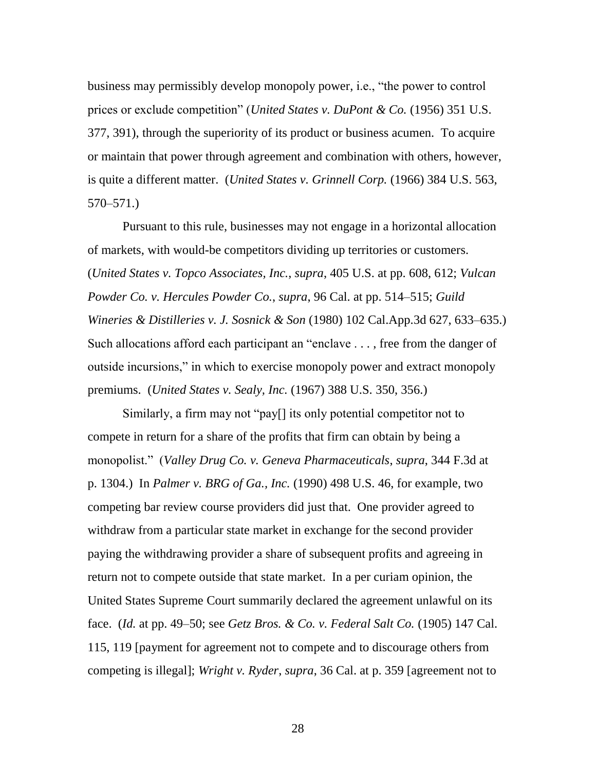business may permissibly develop monopoly power, i.e., "the power to control prices or exclude competition" (*United States v. DuPont & Co.* (1956) 351 U.S. 377, 391), through the superiority of its product or business acumen. To acquire or maintain that power through agreement and combination with others, however, is quite a different matter. (*United States v. Grinnell Corp.* (1966) 384 U.S. 563, 570–571.)

Pursuant to this rule, businesses may not engage in a horizontal allocation of markets, with would-be competitors dividing up territories or customers. (*United States v. Topco Associates, Inc.*, *supra*, 405 U.S. at pp. 608, 612; *Vulcan Powder Co. v. Hercules Powder Co.*, *supra*, 96 Cal. at pp. 514–515; *Guild Wineries & Distilleries v. J. Sosnick & Son* (1980) 102 Cal.App.3d 627, 633–635.) Such allocations afford each participant an "enclave  $\dots$ , free from the danger of outside incursions," in which to exercise monopoly power and extract monopoly premiums. (*United States v. Sealy, Inc.* (1967) 388 U.S. 350, 356.)

Similarly, a firm may not "pay[] its only potential competitor not to compete in return for a share of the profits that firm can obtain by being a monopolist.‖ (*Valley Drug Co. v. Geneva Pharmaceuticals*, *supra*, 344 F.3d at p. 1304.) In *Palmer v. BRG of Ga., Inc.* (1990) 498 U.S. 46, for example, two competing bar review course providers did just that. One provider agreed to withdraw from a particular state market in exchange for the second provider paying the withdrawing provider a share of subsequent profits and agreeing in return not to compete outside that state market. In a per curiam opinion, the United States Supreme Court summarily declared the agreement unlawful on its face. (*Id.* at pp. 49–50; see *Getz Bros. & Co. v. Federal Salt Co.* (1905) 147 Cal. 115, 119 [payment for agreement not to compete and to discourage others from competing is illegal]; *Wright v. Ryder*, *supra*, 36 Cal. at p. 359 [agreement not to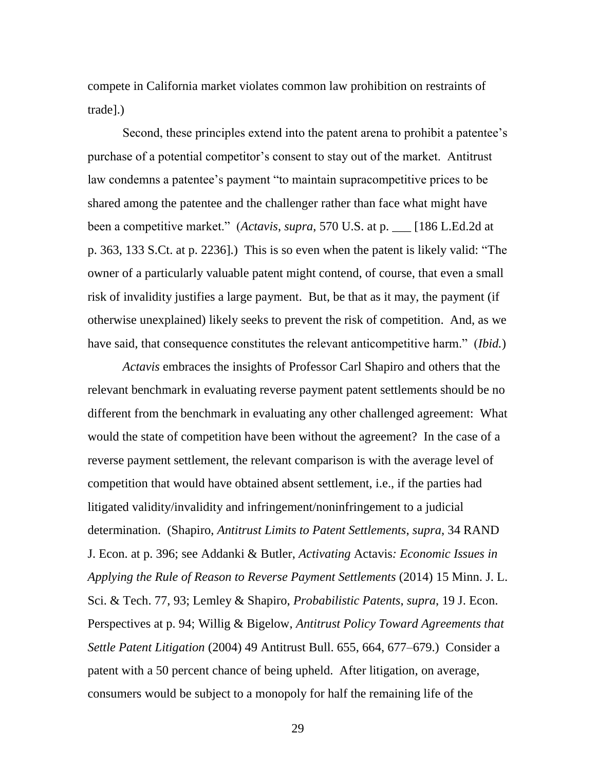compete in California market violates common law prohibition on restraints of trade].)

Second, these principles extend into the patent arena to prohibit a patentee's purchase of a potential competitor's consent to stay out of the market. Antitrust law condemns a patentee's payment "to maintain supracompetitive prices to be shared among the patentee and the challenger rather than face what might have been a competitive market.‖ (*Actavis*, *supra*, 570 U.S. at p. \_\_\_ [186 L.Ed.2d at p. 363, 133 S.Ct. at p. 2236].) This is so even when the patent is likely valid: "The owner of a particularly valuable patent might contend, of course, that even a small risk of invalidity justifies a large payment. But, be that as it may, the payment (if otherwise unexplained) likely seeks to prevent the risk of competition. And, as we have said, that consequence constitutes the relevant anticompetitive harm." *(Ibid.)* 

*Actavis* embraces the insights of Professor Carl Shapiro and others that the relevant benchmark in evaluating reverse payment patent settlements should be no different from the benchmark in evaluating any other challenged agreement: What would the state of competition have been without the agreement? In the case of a reverse payment settlement, the relevant comparison is with the average level of competition that would have obtained absent settlement, i.e., if the parties had litigated validity/invalidity and infringement/noninfringement to a judicial determination. (Shapiro, *Antitrust Limits to Patent Settlements*, *supra*, 34 RAND J. Econ. at p. 396; see Addanki & Butler, *Activating* Actavis*: Economic Issues in Applying the Rule of Reason to Reverse Payment Settlements* (2014) 15 Minn. J. L. Sci. & Tech. 77, 93; Lemley & Shapiro, *Probabilistic Patents*, *supra*, 19 J. Econ. Perspectives at p. 94; Willig & Bigelow, *Antitrust Policy Toward Agreements that Settle Patent Litigation* (2004) 49 Antitrust Bull. 655, 664, 677–679.) Consider a patent with a 50 percent chance of being upheld. After litigation, on average, consumers would be subject to a monopoly for half the remaining life of the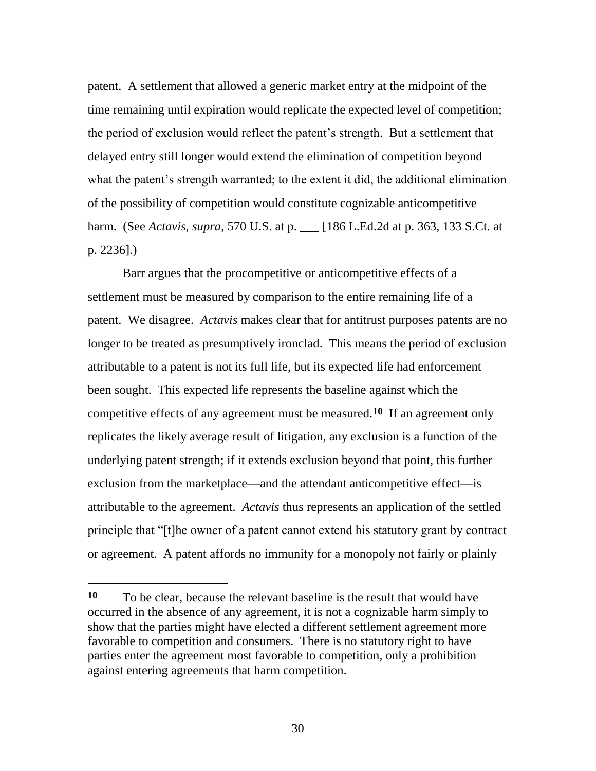patent. A settlement that allowed a generic market entry at the midpoint of the time remaining until expiration would replicate the expected level of competition; the period of exclusion would reflect the patent's strength. But a settlement that delayed entry still longer would extend the elimination of competition beyond what the patent's strength warranted; to the extent it did, the additional elimination of the possibility of competition would constitute cognizable anticompetitive harm. (See *Actavis*, *supra*, 570 U.S. at p. \_\_\_ [186 L.Ed.2d at p. 363, 133 S.Ct. at p. 2236].)

Barr argues that the procompetitive or anticompetitive effects of a settlement must be measured by comparison to the entire remaining life of a patent. We disagree. *Actavis* makes clear that for antitrust purposes patents are no longer to be treated as presumptively ironclad. This means the period of exclusion attributable to a patent is not its full life, but its expected life had enforcement been sought. This expected life represents the baseline against which the competitive effects of any agreement must be measured.**10** If an agreement only replicates the likely average result of litigation, any exclusion is a function of the underlying patent strength; if it extends exclusion beyond that point, this further exclusion from the marketplace—and the attendant anticompetitive effect—is attributable to the agreement. *Actavis* thus represents an application of the settled principle that "[t]he owner of a patent cannot extend his statutory grant by contract or agreement. A patent affords no immunity for a monopoly not fairly or plainly

**<sup>10</sup>** To be clear, because the relevant baseline is the result that would have occurred in the absence of any agreement, it is not a cognizable harm simply to show that the parties might have elected a different settlement agreement more favorable to competition and consumers. There is no statutory right to have parties enter the agreement most favorable to competition, only a prohibition against entering agreements that harm competition.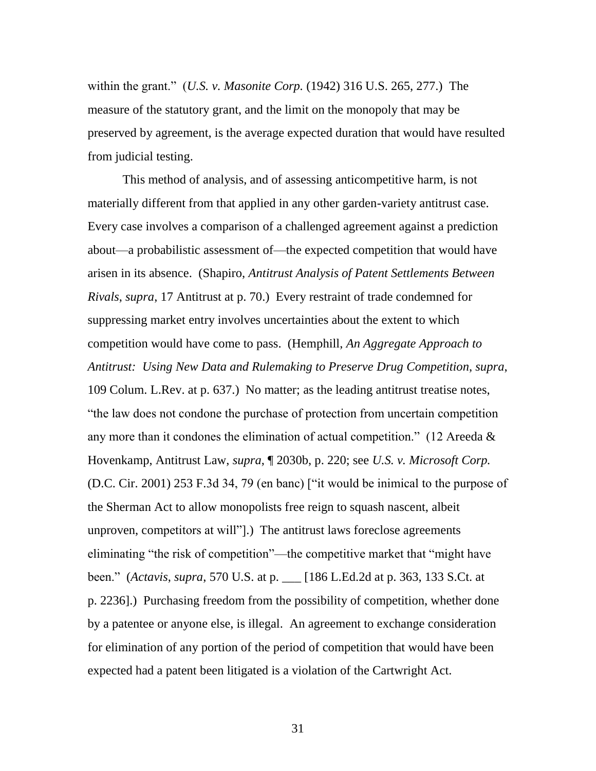within the grant.‖ (*U.S. v. Masonite Corp.* (1942) 316 U.S. 265, 277.) The measure of the statutory grant, and the limit on the monopoly that may be preserved by agreement, is the average expected duration that would have resulted from judicial testing.

This method of analysis, and of assessing anticompetitive harm, is not materially different from that applied in any other garden-variety antitrust case. Every case involves a comparison of a challenged agreement against a prediction about—a probabilistic assessment of—the expected competition that would have arisen in its absence. (Shapiro, *Antitrust Analysis of Patent Settlements Between Rivals*, *supra*, 17 Antitrust at p. 70.) Every restraint of trade condemned for suppressing market entry involves uncertainties about the extent to which competition would have come to pass. (Hemphill, *An Aggregate Approach to Antitrust: Using New Data and Rulemaking to Preserve Drug Competition*, *supra*, 109 Colum. L.Rev. at p. 637.) No matter; as the leading antitrust treatise notes, ―the law does not condone the purchase of protection from uncertain competition any more than it condones the elimination of actual competition." (12 Areeda  $\&$ Hovenkamp, Antitrust Law, *supra*, ¶ 2030b, p. 220; see *U.S. v. Microsoft Corp.* (D.C. Cir. 2001) 253 F.3d 34, 79 (en banc) ["it would be inimical to the purpose of the Sherman Act to allow monopolists free reign to squash nascent, albeit unproven, competitors at will".) The antitrust laws foreclose agreements eliminating "the risk of competition"—the competitive market that "might have been.‖ (*Actavis*, *supra*, 570 U.S. at p. \_\_\_ [186 L.Ed.2d at p. 363, 133 S.Ct. at p. 2236].) Purchasing freedom from the possibility of competition, whether done by a patentee or anyone else, is illegal. An agreement to exchange consideration for elimination of any portion of the period of competition that would have been expected had a patent been litigated is a violation of the Cartwright Act.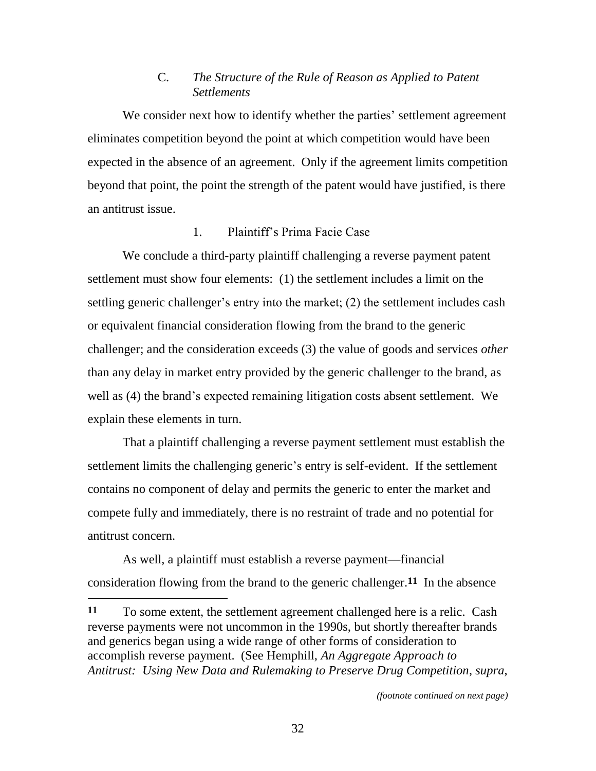## C. *The Structure of the Rule of Reason as Applied to Patent Settlements*

We consider next how to identify whether the parties' settlement agreement eliminates competition beyond the point at which competition would have been expected in the absence of an agreement. Only if the agreement limits competition beyond that point, the point the strength of the patent would have justified, is there an antitrust issue.

## 1. Plaintiff's Prima Facie Case

We conclude a third-party plaintiff challenging a reverse payment patent settlement must show four elements: (1) the settlement includes a limit on the settling generic challenger's entry into the market; (2) the settlement includes cash or equivalent financial consideration flowing from the brand to the generic challenger; and the consideration exceeds (3) the value of goods and services *other* than any delay in market entry provided by the generic challenger to the brand, as well as (4) the brand's expected remaining litigation costs absent settlement. We explain these elements in turn.

That a plaintiff challenging a reverse payment settlement must establish the settlement limits the challenging generic's entry is self-evident. If the settlement contains no component of delay and permits the generic to enter the market and compete fully and immediately, there is no restraint of trade and no potential for antitrust concern.

As well, a plaintiff must establish a reverse payment—financial consideration flowing from the brand to the generic challenger. **11** In the absence 

**<sup>11</sup>** To some extent, the settlement agreement challenged here is a relic. Cash reverse payments were not uncommon in the 1990s, but shortly thereafter brands and generics began using a wide range of other forms of consideration to accomplish reverse payment. (See Hemphill, *An Aggregate Approach to Antitrust: Using New Data and Rulemaking to Preserve Drug Competition*, *supra*,

*<sup>(</sup>footnote continued on next page)*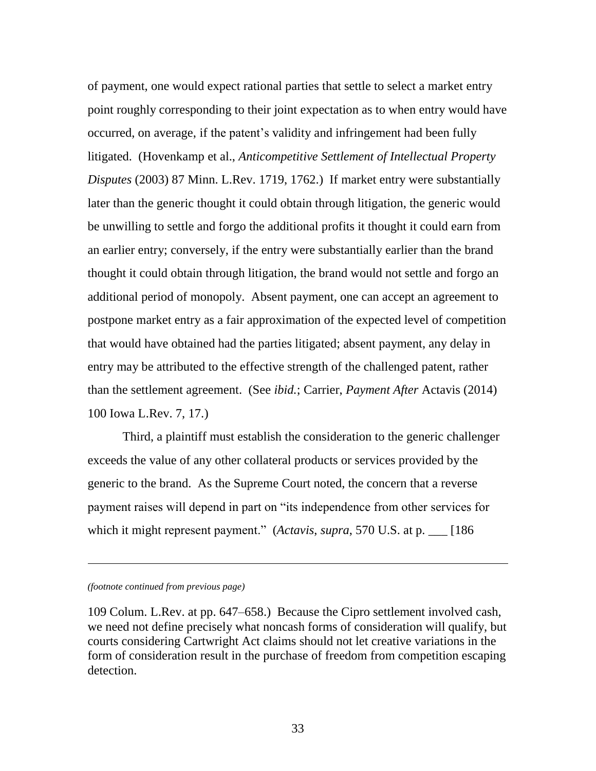of payment, one would expect rational parties that settle to select a market entry point roughly corresponding to their joint expectation as to when entry would have occurred, on average, if the patent's validity and infringement had been fully litigated. (Hovenkamp et al., *Anticompetitive Settlement of Intellectual Property Disputes* (2003) 87 Minn. L.Rev. 1719, 1762.) If market entry were substantially later than the generic thought it could obtain through litigation, the generic would be unwilling to settle and forgo the additional profits it thought it could earn from an earlier entry; conversely, if the entry were substantially earlier than the brand thought it could obtain through litigation, the brand would not settle and forgo an additional period of monopoly. Absent payment, one can accept an agreement to postpone market entry as a fair approximation of the expected level of competition that would have obtained had the parties litigated; absent payment, any delay in entry may be attributed to the effective strength of the challenged patent, rather than the settlement agreement. (See *ibid.*; Carrier, *Payment After* Actavis (2014) 100 Iowa L.Rev. 7, 17.)

Third, a plaintiff must establish the consideration to the generic challenger exceeds the value of any other collateral products or services provided by the generic to the brand. As the Supreme Court noted, the concern that a reverse payment raises will depend in part on "its independence from other services for which it might represent payment." (*Actavis*, *supra*, 570 U.S. at p. \_\_\_ [186]

### *(footnote continued from previous page)*

l

109 Colum. L.Rev. at pp. 647–658.) Because the Cipro settlement involved cash, we need not define precisely what noncash forms of consideration will qualify, but courts considering Cartwright Act claims should not let creative variations in the form of consideration result in the purchase of freedom from competition escaping detection.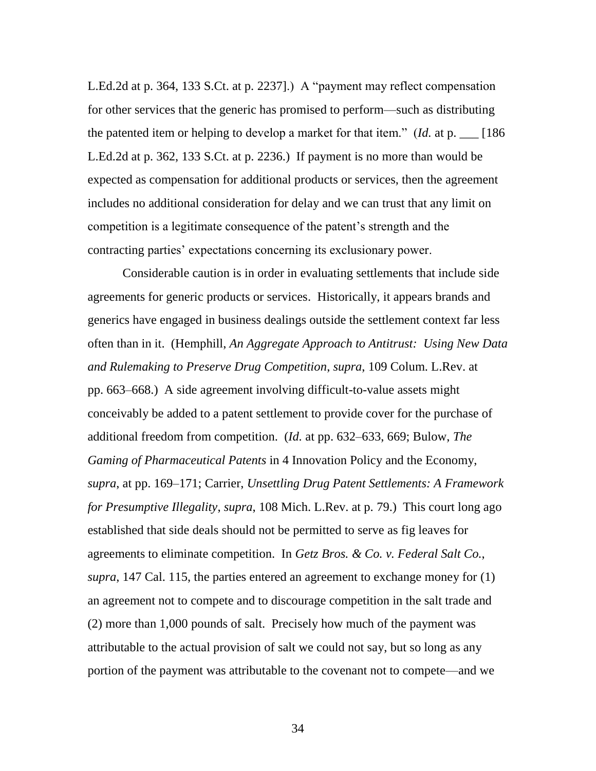L.Ed.2d at p. 364, 133 S.Ct. at p. 2237].) A "payment may reflect compensation for other services that the generic has promised to perform—such as distributing the patented item or helping to develop a market for that item.‖ (*Id.* at p. \_\_\_ [186 L.Ed.2d at p. 362, 133 S.Ct. at p. 2236.) If payment is no more than would be expected as compensation for additional products or services, then the agreement includes no additional consideration for delay and we can trust that any limit on competition is a legitimate consequence of the patent's strength and the contracting parties' expectations concerning its exclusionary power.

Considerable caution is in order in evaluating settlements that include side agreements for generic products or services. Historically, it appears brands and generics have engaged in business dealings outside the settlement context far less often than in it. (Hemphill, *An Aggregate Approach to Antitrust: Using New Data and Rulemaking to Preserve Drug Competition*, *supra*, 109 Colum. L.Rev. at pp. 663–668.) A side agreement involving difficult-to-value assets might conceivably be added to a patent settlement to provide cover for the purchase of additional freedom from competition. (*Id.* at pp. 632–633, 669; Bulow, *The Gaming of Pharmaceutical Patents* in 4 Innovation Policy and the Economy, *supra*, at pp. 169–171; Carrier, *Unsettling Drug Patent Settlements: A Framework for Presumptive Illegality*, *supra*, 108 Mich. L.Rev. at p. 79.) This court long ago established that side deals should not be permitted to serve as fig leaves for agreements to eliminate competition. In *Getz Bros. & Co. v. Federal Salt Co.*, *supra*, 147 Cal. 115, the parties entered an agreement to exchange money for (1) an agreement not to compete and to discourage competition in the salt trade and (2) more than 1,000 pounds of salt. Precisely how much of the payment was attributable to the actual provision of salt we could not say, but so long as any portion of the payment was attributable to the covenant not to compete—and we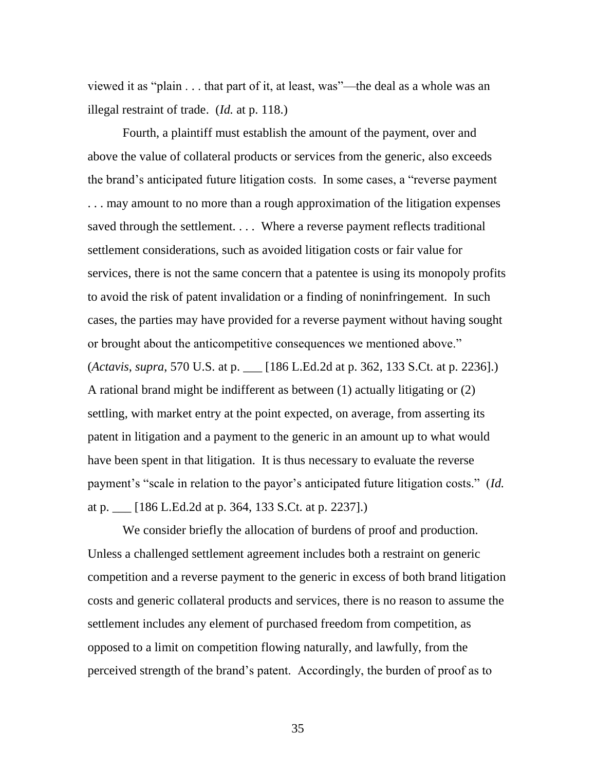viewed it as "plain  $\ldots$  that part of it, at least, was"—the deal as a whole was an illegal restraint of trade. (*Id.* at p. 118.)

Fourth, a plaintiff must establish the amount of the payment, over and above the value of collateral products or services from the generic, also exceeds the brand's anticipated future litigation costs. In some cases, a "reverse payment" . . . may amount to no more than a rough approximation of the litigation expenses saved through the settlement. . . . Where a reverse payment reflects traditional settlement considerations, such as avoided litigation costs or fair value for services, there is not the same concern that a patentee is using its monopoly profits to avoid the risk of patent invalidation or a finding of noninfringement. In such cases, the parties may have provided for a reverse payment without having sought or brought about the anticompetitive consequences we mentioned above." (*Actavis*, *supra*, 570 U.S. at p. \_\_\_ [186 L.Ed.2d at p. 362, 133 S.Ct. at p. 2236].) A rational brand might be indifferent as between (1) actually litigating or (2) settling, with market entry at the point expected, on average, from asserting its patent in litigation and a payment to the generic in an amount up to what would have been spent in that litigation. It is thus necessary to evaluate the reverse payment's "scale in relation to the payor's anticipated future litigation costs." (*Id.*) at p. \_\_\_ [186 L.Ed.2d at p. 364, 133 S.Ct. at p. 2237].)

We consider briefly the allocation of burdens of proof and production. Unless a challenged settlement agreement includes both a restraint on generic competition and a reverse payment to the generic in excess of both brand litigation costs and generic collateral products and services, there is no reason to assume the settlement includes any element of purchased freedom from competition, as opposed to a limit on competition flowing naturally, and lawfully, from the perceived strength of the brand's patent. Accordingly, the burden of proof as to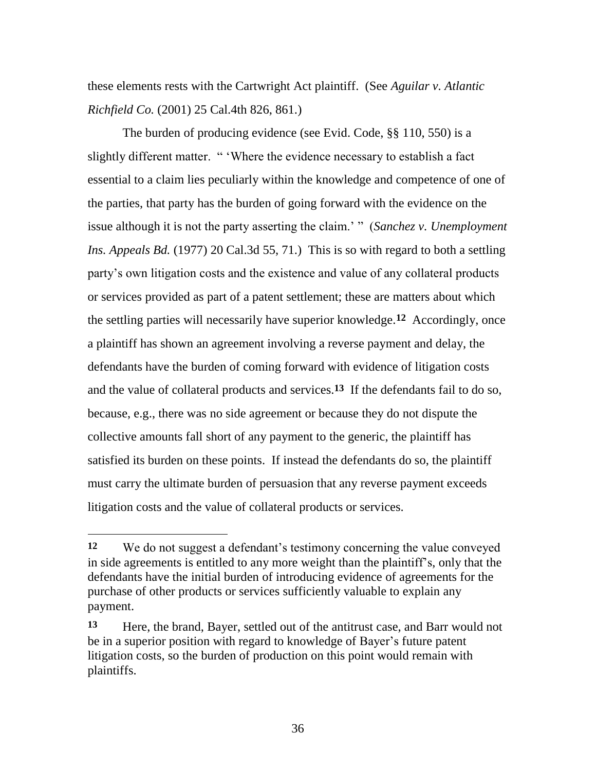these elements rests with the Cartwright Act plaintiff. (See *Aguilar v. Atlantic Richfield Co.* (2001) 25 Cal.4th 826, 861.)

The burden of producing evidence (see Evid. Code, §§ 110, 550) is a slightly different matter. "Where the evidence necessary to establish a fact essential to a claim lies peculiarly within the knowledge and competence of one of the parties, that party has the burden of going forward with the evidence on the issue although it is not the party asserting the claim.' " (*Sanchez v. Unemployment Ins. Appeals Bd.* (1977) 20 Cal.3d 55, 71.) This is so with regard to both a settling party's own litigation costs and the existence and value of any collateral products or services provided as part of a patent settlement; these are matters about which the settling parties will necessarily have superior knowledge.**12** Accordingly, once a plaintiff has shown an agreement involving a reverse payment and delay, the defendants have the burden of coming forward with evidence of litigation costs and the value of collateral products and services.**13** If the defendants fail to do so, because, e.g., there was no side agreement or because they do not dispute the collective amounts fall short of any payment to the generic, the plaintiff has satisfied its burden on these points. If instead the defendants do so, the plaintiff must carry the ultimate burden of persuasion that any reverse payment exceeds litigation costs and the value of collateral products or services.

**<sup>12</sup>** We do not suggest a defendant's testimony concerning the value conveyed in side agreements is entitled to any more weight than the plaintiff's, only that the defendants have the initial burden of introducing evidence of agreements for the purchase of other products or services sufficiently valuable to explain any payment.

**<sup>13</sup>** Here, the brand, Bayer, settled out of the antitrust case, and Barr would not be in a superior position with regard to knowledge of Bayer's future patent litigation costs, so the burden of production on this point would remain with plaintiffs.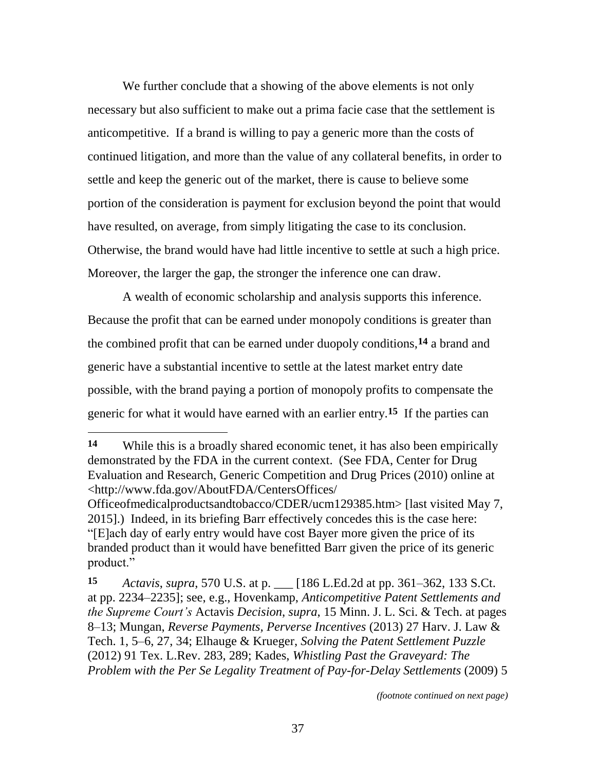We further conclude that a showing of the above elements is not only necessary but also sufficient to make out a prima facie case that the settlement is anticompetitive. If a brand is willing to pay a generic more than the costs of continued litigation, and more than the value of any collateral benefits, in order to settle and keep the generic out of the market, there is cause to believe some portion of the consideration is payment for exclusion beyond the point that would have resulted, on average, from simply litigating the case to its conclusion. Otherwise, the brand would have had little incentive to settle at such a high price. Moreover, the larger the gap, the stronger the inference one can draw.

A wealth of economic scholarship and analysis supports this inference. Because the profit that can be earned under monopoly conditions is greater than the combined profit that can be earned under duopoly conditions,**14** a brand and generic have a substantial incentive to settle at the latest market entry date possible, with the brand paying a portion of monopoly profits to compensate the generic for what it would have earned with an earlier entry.**15** If the parties can

*(footnote continued on next page)*

**<sup>14</sup>** While this is a broadly shared economic tenet, it has also been empirically demonstrated by the FDA in the current context. (See FDA, Center for Drug Evaluation and Research, Generic Competition and Drug Prices (2010) online at <http://www.fda.gov/AboutFDA/CentersOffices/

Officeofmedicalproductsandtobacco/CDER/ucm129385.htm> [last visited May 7, 2015].) Indeed, in its briefing Barr effectively concedes this is the case here: ―[E]ach day of early entry would have cost Bayer more given the price of its branded product than it would have benefitted Barr given the price of its generic product."

**<sup>15</sup>** *Actavis*, *supra*, 570 U.S. at p. \_\_\_ [186 L.Ed.2d at pp. 361–362, 133 S.Ct. at pp. 2234–2235]; see, e.g., Hovenkamp, *Anticompetitive Patent Settlements and the Supreme Court's* Actavis *Decision*, *supra*, 15 Minn. J. L. Sci. & Tech. at pages 8–13; Mungan, *Reverse Payments, Perverse Incentives* (2013) 27 Harv. J. Law & Tech. 1, 5–6, 27, 34; Elhauge & Krueger, *Solving the Patent Settlement Puzzle* (2012) 91 Tex. L.Rev. 283, 289; Kades, *Whistling Past the Graveyard: The Problem with the Per Se Legality Treatment of Pay-for-Delay Settlements* (2009) 5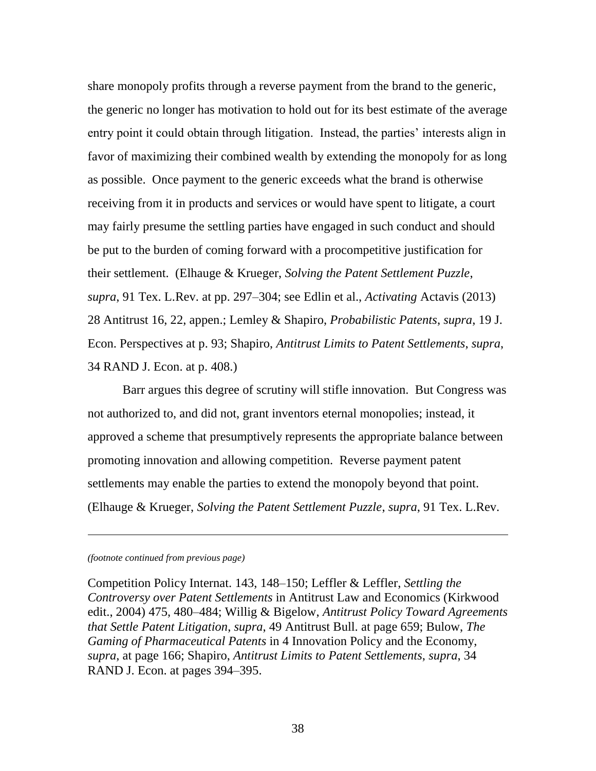share monopoly profits through a reverse payment from the brand to the generic, the generic no longer has motivation to hold out for its best estimate of the average entry point it could obtain through litigation. Instead, the parties' interests align in favor of maximizing their combined wealth by extending the monopoly for as long as possible. Once payment to the generic exceeds what the brand is otherwise receiving from it in products and services or would have spent to litigate, a court may fairly presume the settling parties have engaged in such conduct and should be put to the burden of coming forward with a procompetitive justification for their settlement. (Elhauge & Krueger, *Solving the Patent Settlement Puzzle*, *supra*, 91 Tex. L.Rev. at pp. 297–304; see Edlin et al., *Activating* Actavis (2013) 28 Antitrust 16, 22, appen.; Lemley & Shapiro, *Probabilistic Patents*, *supra*, 19 J. Econ. Perspectives at p. 93; Shapiro, *Antitrust Limits to Patent Settlements*, *supra*, 34 RAND J. Econ. at p. 408.)

Barr argues this degree of scrutiny will stifle innovation. But Congress was not authorized to, and did not, grant inventors eternal monopolies; instead, it approved a scheme that presumptively represents the appropriate balance between promoting innovation and allowing competition. Reverse payment patent settlements may enable the parties to extend the monopoly beyond that point. (Elhauge & Krueger, *Solving the Patent Settlement Puzzle*, *supra*, 91 Tex. L.Rev.

#### *(footnote continued from previous page)*

 $\overline{\phantom{a}}$ 

Competition Policy Internat. 143, 148–150; Leffler & Leffler, *Settling the Controversy over Patent Settlements* in Antitrust Law and Economics (Kirkwood edit., 2004) 475, 480–484; Willig & Bigelow, *Antitrust Policy Toward Agreements that Settle Patent Litigation*, *supra*, 49 Antitrust Bull. at page 659; Bulow, *The Gaming of Pharmaceutical Patents* in 4 Innovation Policy and the Economy, *supra*, at page 166; Shapiro, *Antitrust Limits to Patent Settlements*, *supra*, 34 RAND J. Econ. at pages 394–395.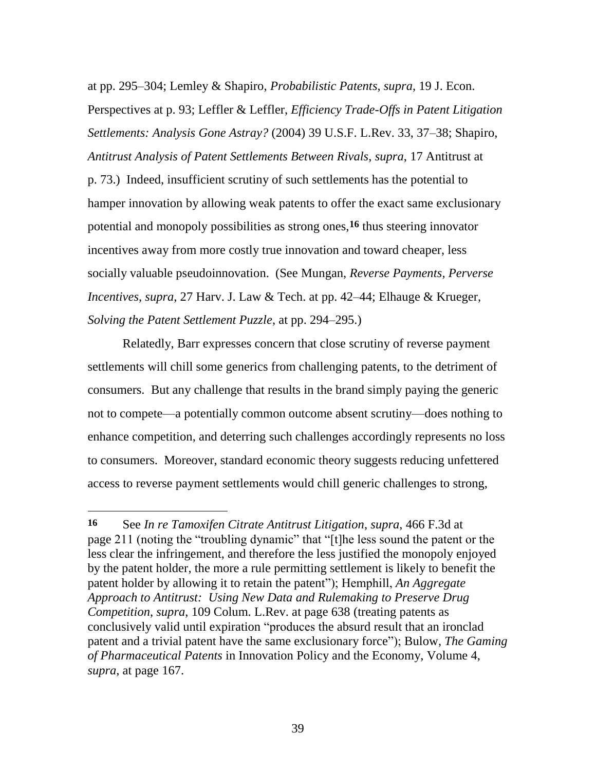at pp. 295–304; Lemley & Shapiro, *Probabilistic Patents*, *supra*, 19 J. Econ. Perspectives at p. 93; Leffler & Leffler, *Efficiency Trade-Offs in Patent Litigation Settlements: Analysis Gone Astray?* (2004) 39 U.S.F. L.Rev. 33, 37–38; Shapiro, *Antitrust Analysis of Patent Settlements Between Rivals*, *supra*, 17 Antitrust at p. 73.) Indeed, insufficient scrutiny of such settlements has the potential to hamper innovation by allowing weak patents to offer the exact same exclusionary potential and monopoly possibilities as strong ones,**16** thus steering innovator incentives away from more costly true innovation and toward cheaper, less socially valuable pseudoinnovation. (See Mungan, *Reverse Payments, Perverse Incentives*, *supra*, 27 Harv. J. Law & Tech. at pp. 42–44; Elhauge & Krueger, *Solving the Patent Settlement Puzzle*, at pp. 294–295.)

Relatedly, Barr expresses concern that close scrutiny of reverse payment settlements will chill some generics from challenging patents, to the detriment of consumers. But any challenge that results in the brand simply paying the generic not to compete—a potentially common outcome absent scrutiny—does nothing to enhance competition, and deterring such challenges accordingly represents no loss to consumers. Moreover, standard economic theory suggests reducing unfettered access to reverse payment settlements would chill generic challenges to strong,

 $\overline{a}$ 

**<sup>16</sup>** See *In re Tamoxifen Citrate Antitrust Litigation*, *supra*, 466 F.3d at page 211 (noting the "troubling dynamic" that "[t]he less sound the patent or the less clear the infringement, and therefore the less justified the monopoly enjoyed by the patent holder, the more a rule permitting settlement is likely to benefit the patent holder by allowing it to retain the patent"); Hemphill, *An Aggregate Approach to Antitrust: Using New Data and Rulemaking to Preserve Drug Competition*, *supra*, 109 Colum. L.Rev. at page 638 (treating patents as conclusively valid until expiration "produces the absurd result that an ironclad patent and a trivial patent have the same exclusionary force"); Bulow, *The Gaming of Pharmaceutical Patents* in Innovation Policy and the Economy, Volume 4, *supra*, at page 167.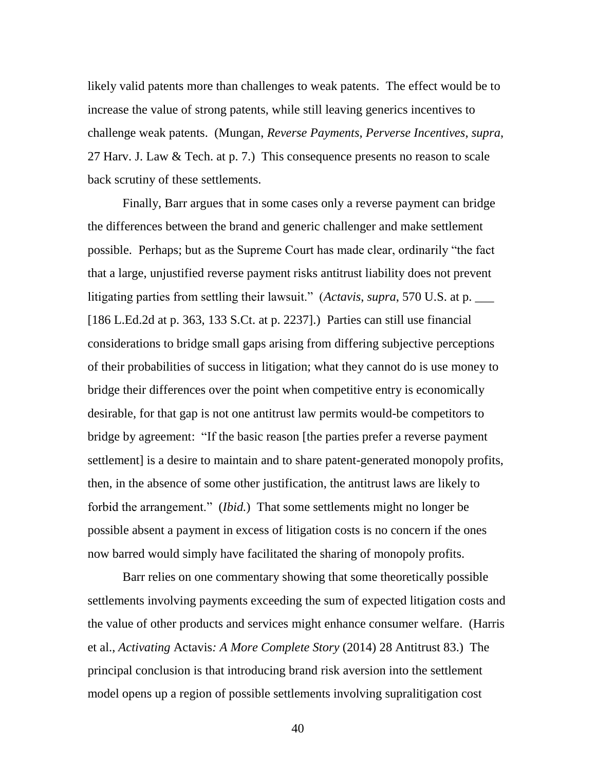likely valid patents more than challenges to weak patents. The effect would be to increase the value of strong patents, while still leaving generics incentives to challenge weak patents. (Mungan, *Reverse Payments, Perverse Incentives*, *supra*, 27 Harv. J. Law & Tech. at p. 7.) This consequence presents no reason to scale back scrutiny of these settlements.

Finally, Barr argues that in some cases only a reverse payment can bridge the differences between the brand and generic challenger and make settlement possible. Perhaps; but as the Supreme Court has made clear, ordinarily "the fact that a large, unjustified reverse payment risks antitrust liability does not prevent litigating parties from settling their lawsuit." (*Actavis*, *supra*, 570 U.S. at p. [186 L.Ed.2d at p. 363, 133 S.Ct. at p. 2237].) Parties can still use financial considerations to bridge small gaps arising from differing subjective perceptions of their probabilities of success in litigation; what they cannot do is use money to bridge their differences over the point when competitive entry is economically desirable, for that gap is not one antitrust law permits would-be competitors to bridge by agreement: "If the basic reason [the parties prefer a reverse payment settlement] is a desire to maintain and to share patent-generated monopoly profits, then, in the absence of some other justification, the antitrust laws are likely to forbid the arrangement." *(Ibid.)* That some settlements might no longer be possible absent a payment in excess of litigation costs is no concern if the ones now barred would simply have facilitated the sharing of monopoly profits.

Barr relies on one commentary showing that some theoretically possible settlements involving payments exceeding the sum of expected litigation costs and the value of other products and services might enhance consumer welfare. (Harris et al., *Activating* Actavis*: A More Complete Story* (2014) 28 Antitrust 83.) The principal conclusion is that introducing brand risk aversion into the settlement model opens up a region of possible settlements involving supralitigation cost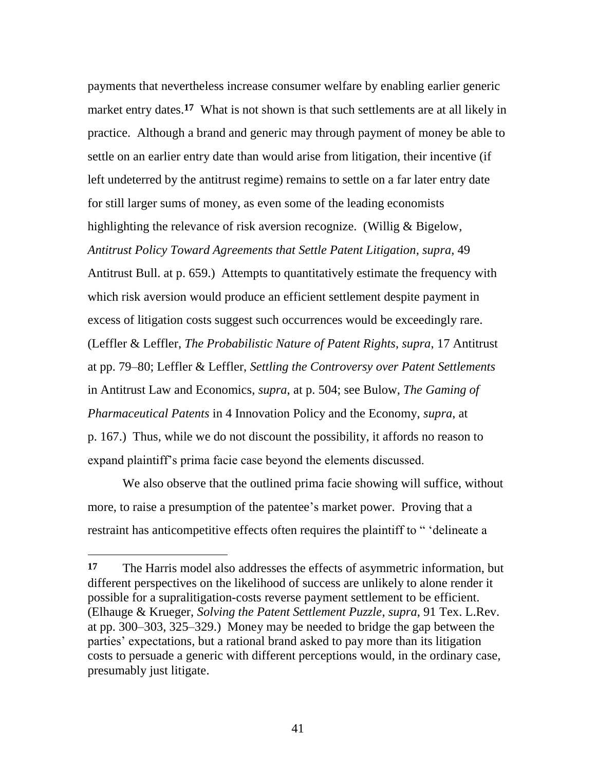payments that nevertheless increase consumer welfare by enabling earlier generic market entry dates.**17** What is not shown is that such settlements are at all likely in practice. Although a brand and generic may through payment of money be able to settle on an earlier entry date than would arise from litigation, their incentive (if left undeterred by the antitrust regime) remains to settle on a far later entry date for still larger sums of money, as even some of the leading economists highlighting the relevance of risk aversion recognize. (Willig & Bigelow, *Antitrust Policy Toward Agreements that Settle Patent Litigation*, *supra*, 49 Antitrust Bull. at p. 659.) Attempts to quantitatively estimate the frequency with which risk aversion would produce an efficient settlement despite payment in excess of litigation costs suggest such occurrences would be exceedingly rare. (Leffler & Leffler, *The Probabilistic Nature of Patent Rights*, *supra*, 17 Antitrust at pp. 79–80; Leffler & Leffler, *Settling the Controversy over Patent Settlements*  in Antitrust Law and Economics, *supra*, at p. 504; see Bulow, *The Gaming of Pharmaceutical Patents* in 4 Innovation Policy and the Economy, *supra*, at p. 167.) Thus, while we do not discount the possibility, it affords no reason to expand plaintiff's prima facie case beyond the elements discussed.

We also observe that the outlined prima facie showing will suffice, without more, to raise a presumption of the patentee's market power. Proving that a restraint has anticompetitive effects often requires the plaintiff to " 'delineate a

 $\overline{a}$ 

**<sup>17</sup>** The Harris model also addresses the effects of asymmetric information, but different perspectives on the likelihood of success are unlikely to alone render it possible for a supralitigation-costs reverse payment settlement to be efficient. (Elhauge & Krueger, *Solving the Patent Settlement Puzzle*, *supra*, 91 Tex. L.Rev. at pp. 300–303, 325–329.) Money may be needed to bridge the gap between the parties' expectations, but a rational brand asked to pay more than its litigation costs to persuade a generic with different perceptions would, in the ordinary case, presumably just litigate.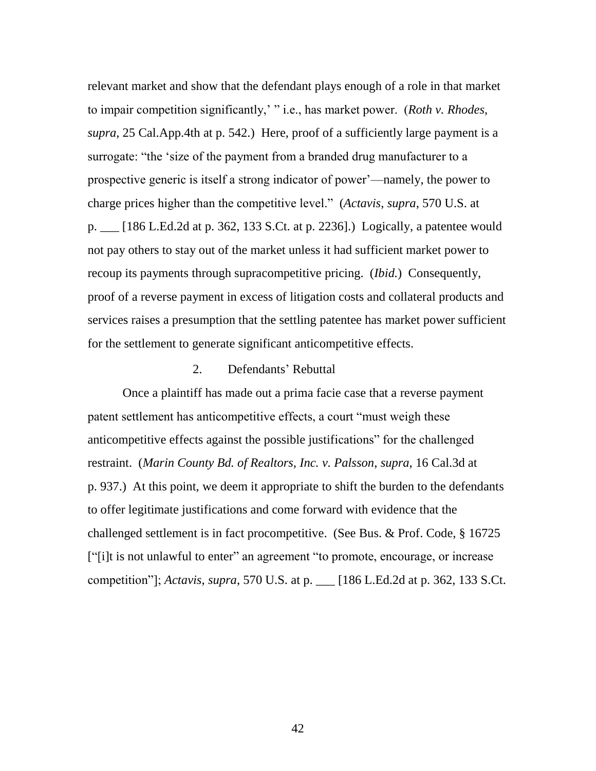relevant market and show that the defendant plays enough of a role in that market to impair competition significantly,' "i.e., has market power. (*Roth v. Rhodes*, *supra*, 25 Cal.App.4th at p. 542.) Here, proof of a sufficiently large payment is a surrogate: "the 'size of the payment from a branded drug manufacturer to a prospective generic is itself a strong indicator of power'—namely, the power to charge prices higher than the competitive level.‖ (*Actavis*, *supra*, 570 U.S. at p. \_\_\_ [186 L.Ed.2d at p. 362, 133 S.Ct. at p. 2236].) Logically, a patentee would not pay others to stay out of the market unless it had sufficient market power to recoup its payments through supracompetitive pricing. (*Ibid.*) Consequently, proof of a reverse payment in excess of litigation costs and collateral products and services raises a presumption that the settling patentee has market power sufficient for the settlement to generate significant anticompetitive effects.

## 2. Defendants' Rebuttal

Once a plaintiff has made out a prima facie case that a reverse payment patent settlement has anticompetitive effects, a court "must weigh these anticompetitive effects against the possible justifications" for the challenged restraint. (*Marin County Bd. of Realtors, Inc. v. Palsson*, *supra*, 16 Cal.3d at p. 937.) At this point, we deem it appropriate to shift the burden to the defendants to offer legitimate justifications and come forward with evidence that the challenged settlement is in fact procompetitive. (See Bus. & Prof. Code, § 16725 ["i]t is not unlawful to enter" an agreement "to promote, encourage, or increase competition‖]; *Actavis*, *supra*, 570 U.S. at p. \_\_\_ [186 L.Ed.2d at p. 362, 133 S.Ct.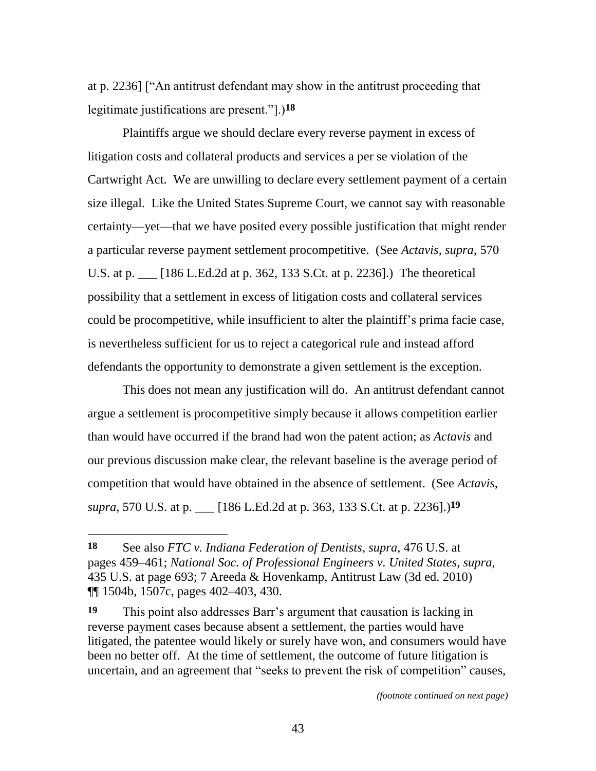at p. 2236] ["An antitrust defendant may show in the antitrust proceeding that legitimate justifications are present.‖].)**18**

Plaintiffs argue we should declare every reverse payment in excess of litigation costs and collateral products and services a per se violation of the Cartwright Act. We are unwilling to declare every settlement payment of a certain size illegal. Like the United States Supreme Court, we cannot say with reasonable certainty—yet—that we have posited every possible justification that might render a particular reverse payment settlement procompetitive. (See *Actavis*, *supra*, 570 U.S. at p. \_\_\_ [186 L.Ed.2d at p. 362, 133 S.Ct. at p. 2236].) The theoretical possibility that a settlement in excess of litigation costs and collateral services could be procompetitive, while insufficient to alter the plaintiff's prima facie case, is nevertheless sufficient for us to reject a categorical rule and instead afford defendants the opportunity to demonstrate a given settlement is the exception.

This does not mean any justification will do. An antitrust defendant cannot argue a settlement is procompetitive simply because it allows competition earlier than would have occurred if the brand had won the patent action; as *Actavis* and our previous discussion make clear, the relevant baseline is the average period of competition that would have obtained in the absence of settlement. (See *Actavis*, *supra*, 570 U.S. at p. \_\_\_ [186 L.Ed.2d at p. 363, 133 S.Ct. at p. 2236].) **19**

*(footnote continued on next page)*

**<sup>18</sup>** See also *FTC v. Indiana Federation of Dentists*, *supra*, 476 U.S. at pages 459–461; *National Soc. of Professional Engineers v. United States*, *supra*, 435 U.S. at page 693; 7 Areeda & Hovenkamp, Antitrust Law (3d ed. 2010) ¶¶ 1504b, 1507c, pages 402–403, 430.

**<sup>19</sup>** This point also addresses Barr's argument that causation is lacking in reverse payment cases because absent a settlement, the parties would have litigated, the patentee would likely or surely have won, and consumers would have been no better off. At the time of settlement, the outcome of future litigation is uncertain, and an agreement that "seeks to prevent the risk of competition" causes,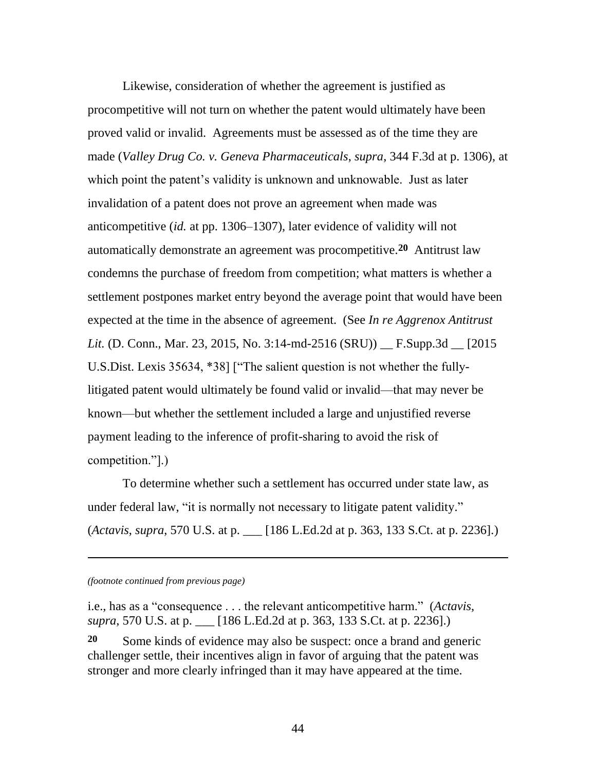Likewise, consideration of whether the agreement is justified as procompetitive will not turn on whether the patent would ultimately have been proved valid or invalid. Agreements must be assessed as of the time they are made (*Valley Drug Co. v. Geneva Pharmaceuticals*, *supra*, 344 F.3d at p. 1306), at which point the patent's validity is unknown and unknowable. Just as later invalidation of a patent does not prove an agreement when made was anticompetitive (*id.* at pp. 1306–1307), later evidence of validity will not automatically demonstrate an agreement was procompetitive.**20** Antitrust law condemns the purchase of freedom from competition; what matters is whether a settlement postpones market entry beyond the average point that would have been expected at the time in the absence of agreement. (See *In re Aggrenox Antitrust Lit.* (D. Conn., Mar. 23, 2015, No. 3:14-md-2516 (SRU)) \_\_ F.Supp.3d \_\_ [2015 U.S.Dist. Lexis 35634, \*38] ["The salient question is not whether the fullylitigated patent would ultimately be found valid or invalid—that may never be known—but whether the settlement included a large and unjustified reverse payment leading to the inference of profit-sharing to avoid the risk of competition."].)

To determine whether such a settlement has occurred under state law, as under federal law, "it is normally not necessary to litigate patent validity." (*Actavis*, *supra*, 570 U.S. at p. \_\_\_ [186 L.Ed.2d at p. 363, 133 S.Ct. at p. 2236].)

*(footnote continued from previous page)*

 $\overline{\phantom{a}}$ 

i.e., has as a "consequence . . . the relevant anticompetitive harm." (*Actavis*, *supra*, 570 U.S. at p. \_\_\_ [186 L.Ed.2d at p. 363, 133 S.Ct. at p. 2236].)

**20** Some kinds of evidence may also be suspect: once a brand and generic challenger settle, their incentives align in favor of arguing that the patent was stronger and more clearly infringed than it may have appeared at the time.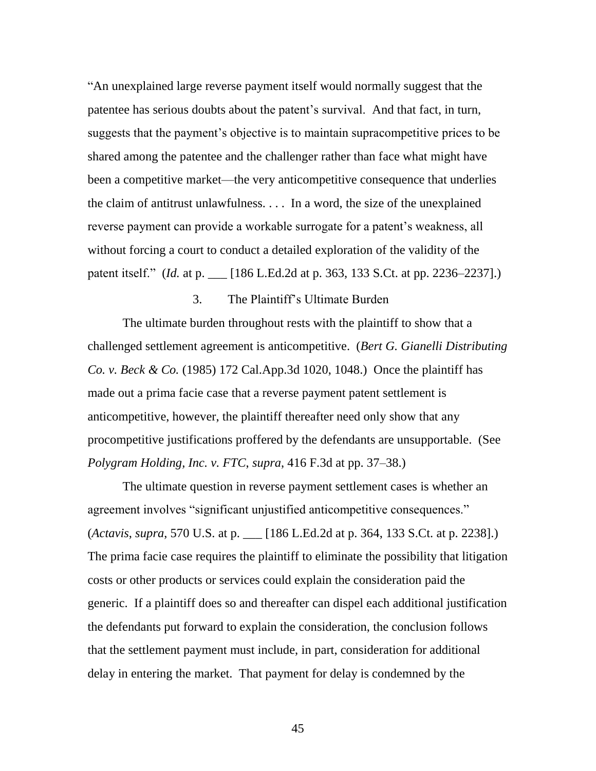―An unexplained large reverse payment itself would normally suggest that the patentee has serious doubts about the patent's survival. And that fact, in turn, suggests that the payment's objective is to maintain supracompetitive prices to be shared among the patentee and the challenger rather than face what might have been a competitive market—the very anticompetitive consequence that underlies the claim of antitrust unlawfulness. . . . In a word, the size of the unexplained reverse payment can provide a workable surrogate for a patent's weakness, all without forcing a court to conduct a detailed exploration of the validity of the patent itself." (*Id.* at p. \_\_ [186 L.Ed.2d at p. 363, 133 S.Ct. at pp. 2236–2237].)

## 3. The Plaintiff's Ultimate Burden

The ultimate burden throughout rests with the plaintiff to show that a challenged settlement agreement is anticompetitive. (*Bert G. Gianelli Distributing Co. v. Beck & Co.* (1985) 172 Cal.App.3d 1020, 1048.) Once the plaintiff has made out a prima facie case that a reverse payment patent settlement is anticompetitive, however, the plaintiff thereafter need only show that any procompetitive justifications proffered by the defendants are unsupportable. (See *Polygram Holding, Inc. v. FTC*, *supra*, 416 F.3d at pp. 37–38.)

The ultimate question in reverse payment settlement cases is whether an agreement involves "significant unjustified anticompetitive consequences." (*Actavis*, *supra*, 570 U.S. at p. \_\_\_ [186 L.Ed.2d at p. 364, 133 S.Ct. at p. 2238].) The prima facie case requires the plaintiff to eliminate the possibility that litigation costs or other products or services could explain the consideration paid the generic. If a plaintiff does so and thereafter can dispel each additional justification the defendants put forward to explain the consideration, the conclusion follows that the settlement payment must include, in part, consideration for additional delay in entering the market. That payment for delay is condemned by the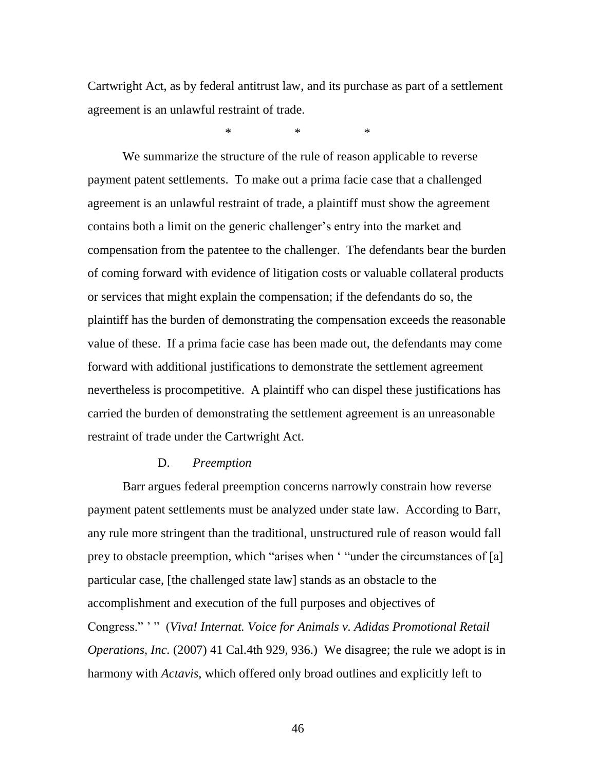Cartwright Act, as by federal antitrust law, and its purchase as part of a settlement agreement is an unlawful restraint of trade.

\* \* \*

We summarize the structure of the rule of reason applicable to reverse payment patent settlements. To make out a prima facie case that a challenged agreement is an unlawful restraint of trade, a plaintiff must show the agreement contains both a limit on the generic challenger's entry into the market and compensation from the patentee to the challenger. The defendants bear the burden of coming forward with evidence of litigation costs or valuable collateral products or services that might explain the compensation; if the defendants do so, the plaintiff has the burden of demonstrating the compensation exceeds the reasonable value of these. If a prima facie case has been made out, the defendants may come forward with additional justifications to demonstrate the settlement agreement nevertheless is procompetitive. A plaintiff who can dispel these justifications has carried the burden of demonstrating the settlement agreement is an unreasonable restraint of trade under the Cartwright Act.

### D. *Preemption*

Barr argues federal preemption concerns narrowly constrain how reverse payment patent settlements must be analyzed under state law. According to Barr, any rule more stringent than the traditional, unstructured rule of reason would fall prey to obstacle preemption, which "arises when  $\cdot$  "under the circumstances of [a] particular case, [the challenged state law] stands as an obstacle to the accomplishment and execution of the full purposes and objectives of Congress."<sup>,"</sup> (*Viva! Internat. Voice for Animals v. Adidas Promotional Retail Operations, Inc.* (2007) 41 Cal.4th 929, 936.) We disagree; the rule we adopt is in harmony with *Actavis*, which offered only broad outlines and explicitly left to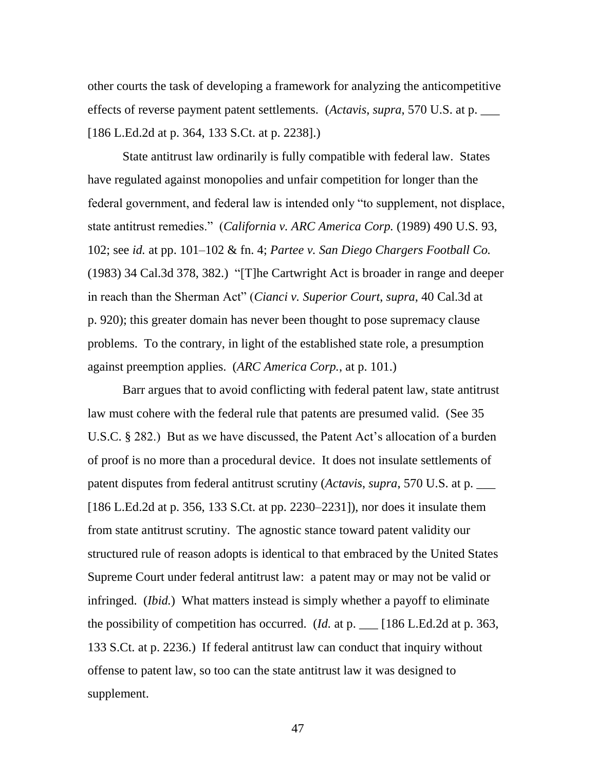other courts the task of developing a framework for analyzing the anticompetitive effects of reverse payment patent settlements. (*Actavis*, *supra*, 570 U.S. at p. \_\_\_ [186 L.Ed.2d at p. 364, 133 S.Ct. at p. 2238].)

State antitrust law ordinarily is fully compatible with federal law. States have regulated against monopolies and unfair competition for longer than the federal government, and federal law is intended only "to supplement, not displace, state antitrust remedies.‖ (*California v. ARC America Corp.* (1989) 490 U.S. 93, 102; see *id.* at pp. 101–102 & fn. 4; *Partee v. San Diego Chargers Football Co.*  $(1983)$  34 Cal.3d 378, 382.) "[T]he Cartwright Act is broader in range and deeper in reach than the Sherman Act‖ (*Cianci v. Superior Court*, *supra*, 40 Cal.3d at p. 920); this greater domain has never been thought to pose supremacy clause problems. To the contrary, in light of the established state role, a presumption against preemption applies. (*ARC America Corp.*, at p. 101.)

Barr argues that to avoid conflicting with federal patent law, state antitrust law must cohere with the federal rule that patents are presumed valid. (See 35 U.S.C. § 282.) But as we have discussed, the Patent Act's allocation of a burden of proof is no more than a procedural device. It does not insulate settlements of patent disputes from federal antitrust scrutiny (*Actavis*, *supra*, 570 U.S. at p. \_\_\_ [186 L.Ed.2d at p. 356, 133 S.Ct. at pp. 2230–2231]), nor does it insulate them from state antitrust scrutiny. The agnostic stance toward patent validity our structured rule of reason adopts is identical to that embraced by the United States Supreme Court under federal antitrust law: a patent may or may not be valid or infringed. (*Ibid.*) What matters instead is simply whether a payoff to eliminate the possibility of competition has occurred. (*Id.* at p. \_\_\_ [186 L.Ed.2d at p. 363, 133 S.Ct. at p. 2236.) If federal antitrust law can conduct that inquiry without offense to patent law, so too can the state antitrust law it was designed to supplement.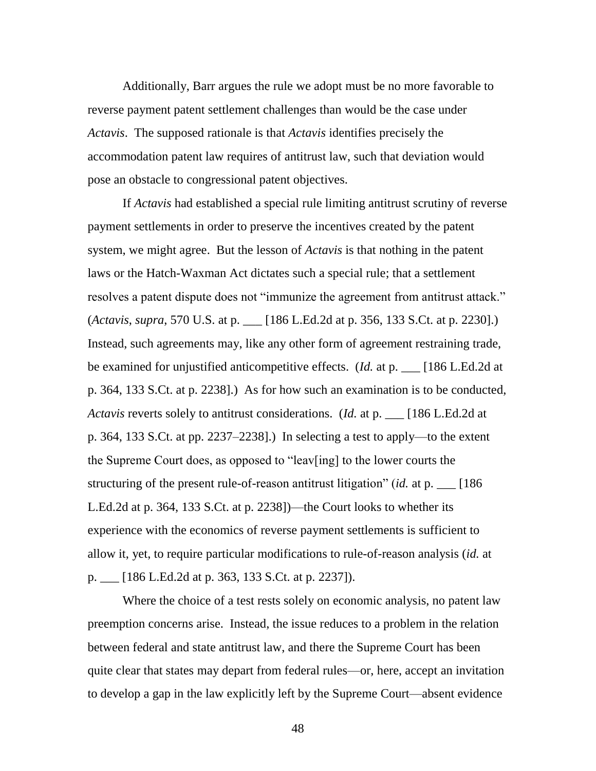Additionally, Barr argues the rule we adopt must be no more favorable to reverse payment patent settlement challenges than would be the case under *Actavis*. The supposed rationale is that *Actavis* identifies precisely the accommodation patent law requires of antitrust law, such that deviation would pose an obstacle to congressional patent objectives.

If *Actavis* had established a special rule limiting antitrust scrutiny of reverse payment settlements in order to preserve the incentives created by the patent system, we might agree. But the lesson of *Actavis* is that nothing in the patent laws or the Hatch-Waxman Act dictates such a special rule; that a settlement resolves a patent dispute does not "immunize the agreement from antitrust attack." (*Actavis*, *supra*, 570 U.S. at p. \_\_\_ [186 L.Ed.2d at p. 356, 133 S.Ct. at p. 2230].) Instead, such agreements may, like any other form of agreement restraining trade, be examined for unjustified anticompetitive effects. (*Id.* at p. \_\_\_ [186 L.Ed.2d at p. 364, 133 S.Ct. at p. 2238].) As for how such an examination is to be conducted, *Actavis* reverts solely to antitrust considerations. (*Id.* at p. \_\_\_ [186 L.Ed.2d at p. 364, 133 S.Ct. at pp. 2237–2238].) In selecting a test to apply—to the extent the Supreme Court does, as opposed to "leav[ing] to the lower courts the structuring of the present rule-of-reason antitrust litigation" (*id.* at p. \_\_ [186 L.Ed.2d at p. 364, 133 S.Ct. at p. 2238])—the Court looks to whether its experience with the economics of reverse payment settlements is sufficient to allow it, yet, to require particular modifications to rule-of-reason analysis (*id.* at p. \_\_\_ [186 L.Ed.2d at p. 363, 133 S.Ct. at p. 2237]).

Where the choice of a test rests solely on economic analysis, no patent law preemption concerns arise. Instead, the issue reduces to a problem in the relation between federal and state antitrust law, and there the Supreme Court has been quite clear that states may depart from federal rules—or, here, accept an invitation to develop a gap in the law explicitly left by the Supreme Court—absent evidence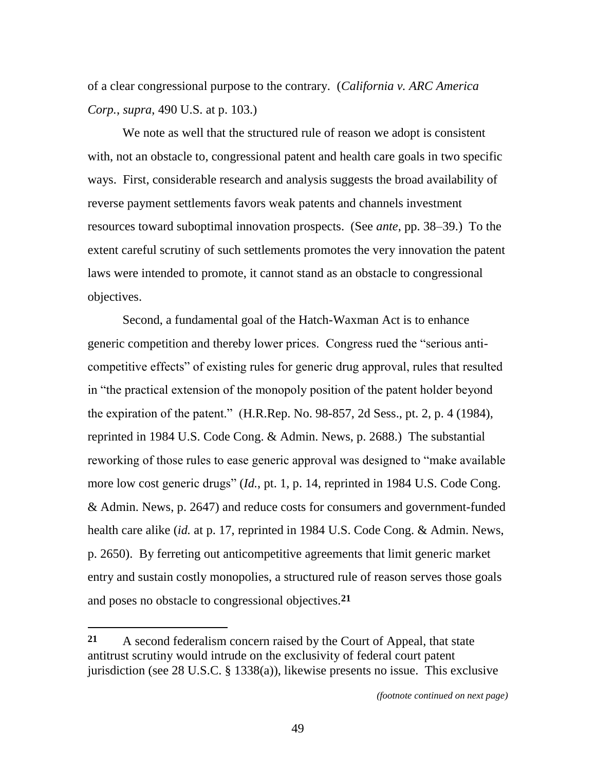of a clear congressional purpose to the contrary. (*California v. ARC America Corp.*, *supra*, 490 U.S. at p. 103.)

We note as well that the structured rule of reason we adopt is consistent with, not an obstacle to, congressional patent and health care goals in two specific ways. First, considerable research and analysis suggests the broad availability of reverse payment settlements favors weak patents and channels investment resources toward suboptimal innovation prospects. (See *ante*, pp. 38–39.) To the extent careful scrutiny of such settlements promotes the very innovation the patent laws were intended to promote, it cannot stand as an obstacle to congressional objectives.

Second, a fundamental goal of the Hatch-Waxman Act is to enhance generic competition and thereby lower prices. Congress rued the "serious anticompetitive effects" of existing rules for generic drug approval, rules that resulted in "the practical extension of the monopoly position of the patent holder beyond the expiration of the patent.‖ (H.R.Rep. No. 98-857, 2d Sess., pt. 2, p. 4 (1984), reprinted in 1984 U.S. Code Cong. & Admin. News, p. 2688.) The substantial reworking of those rules to ease generic approval was designed to "make available" more low cost generic drugs" (*Id.*, pt. 1, p. 14, reprinted in 1984 U.S. Code Cong. & Admin. News, p. 2647) and reduce costs for consumers and government-funded health care alike (*id.* at p. 17, reprinted in 1984 U.S. Code Cong. & Admin. News, p. 2650). By ferreting out anticompetitive agreements that limit generic market entry and sustain costly monopolies, a structured rule of reason serves those goals and poses no obstacle to congressional objectives. **21**

**<sup>21</sup>** A second federalism concern raised by the Court of Appeal, that state antitrust scrutiny would intrude on the exclusivity of federal court patent jurisdiction (see 28 U.S.C. § 1338(a)), likewise presents no issue. This exclusive

*<sup>(</sup>footnote continued on next page)*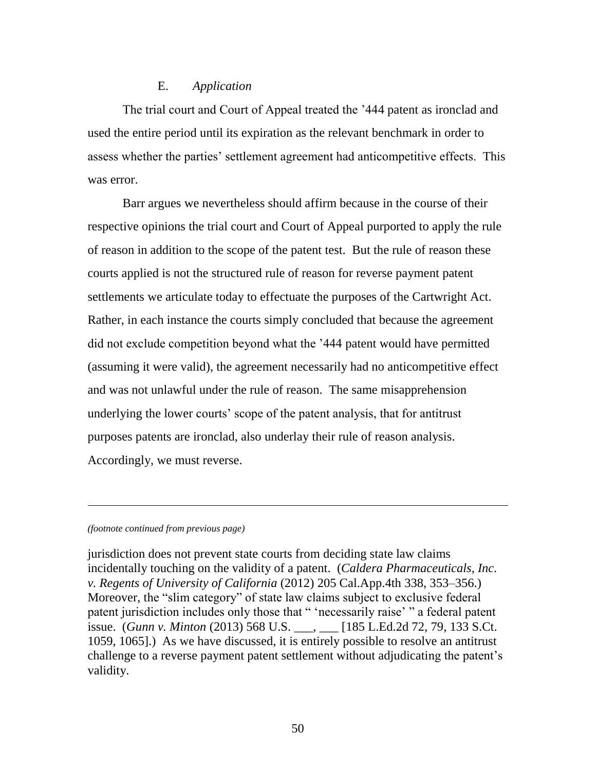## E. *Application*

The trial court and Court of Appeal treated the '444 patent as ironclad and used the entire period until its expiration as the relevant benchmark in order to assess whether the parties' settlement agreement had anticompetitive effects. This was error.

Barr argues we nevertheless should affirm because in the course of their respective opinions the trial court and Court of Appeal purported to apply the rule of reason in addition to the scope of the patent test. But the rule of reason these courts applied is not the structured rule of reason for reverse payment patent settlements we articulate today to effectuate the purposes of the Cartwright Act. Rather, in each instance the courts simply concluded that because the agreement did not exclude competition beyond what the '444 patent would have permitted (assuming it were valid), the agreement necessarily had no anticompetitive effect and was not unlawful under the rule of reason. The same misapprehension underlying the lower courts' scope of the patent analysis, that for antitrust purposes patents are ironclad, also underlay their rule of reason analysis. Accordingly, we must reverse.

#### *(footnote continued from previous page)*

l

jurisdiction does not prevent state courts from deciding state law claims incidentally touching on the validity of a patent. (*Caldera Pharmaceuticals, Inc. v. Regents of University of California* (2012) 205 Cal.App.4th 338, 353–356.) Moreover, the "slim category" of state law claims subject to exclusive federal patent jurisdiction includes only those that " 'necessarily raise' " a federal patent issue. (*Gunn v. Minton* (2013) 568 U.S. \_\_\_, \_\_\_ [185 L.Ed.2d 72, 79, 133 S.Ct. 1059, 1065].) As we have discussed, it is entirely possible to resolve an antitrust challenge to a reverse payment patent settlement without adjudicating the patent's validity.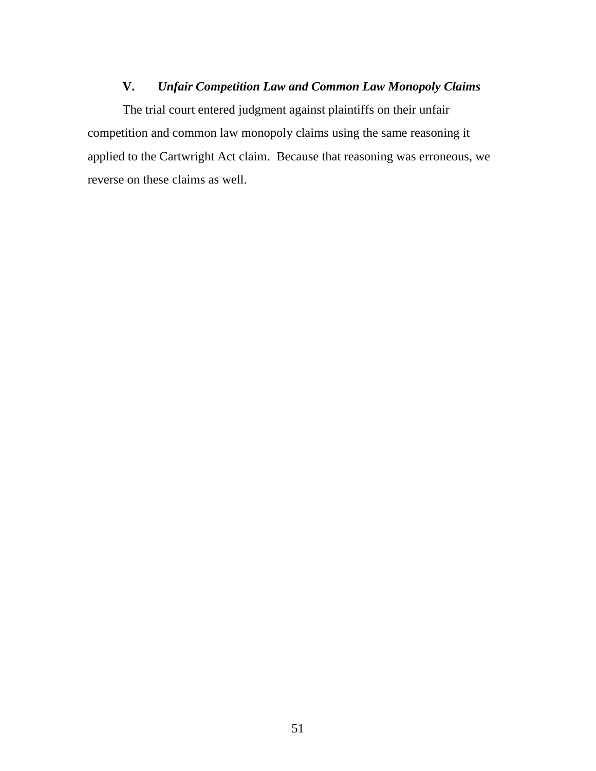## **V.** *Unfair Competition Law and Common Law Monopoly Claims*

The trial court entered judgment against plaintiffs on their unfair competition and common law monopoly claims using the same reasoning it applied to the Cartwright Act claim. Because that reasoning was erroneous, we reverse on these claims as well.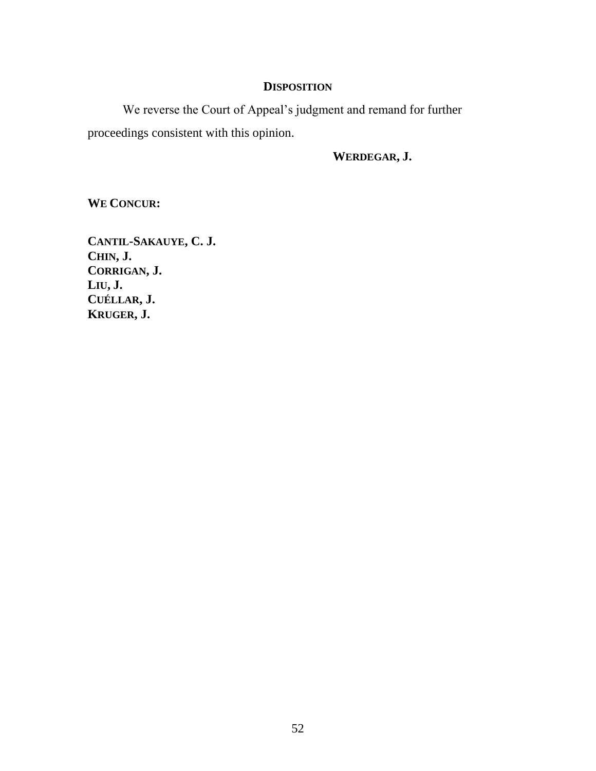## **DISPOSITION**

We reverse the Court of Appeal's judgment and remand for further proceedings consistent with this opinion.

**WERDEGAR, J.**

**WE CONCUR:**

**CANTIL-SAKAUYE, C. J. CHIN, J. CORRIGAN, J. LIU, J. CUÉLLAR, J. KRUGER, J.**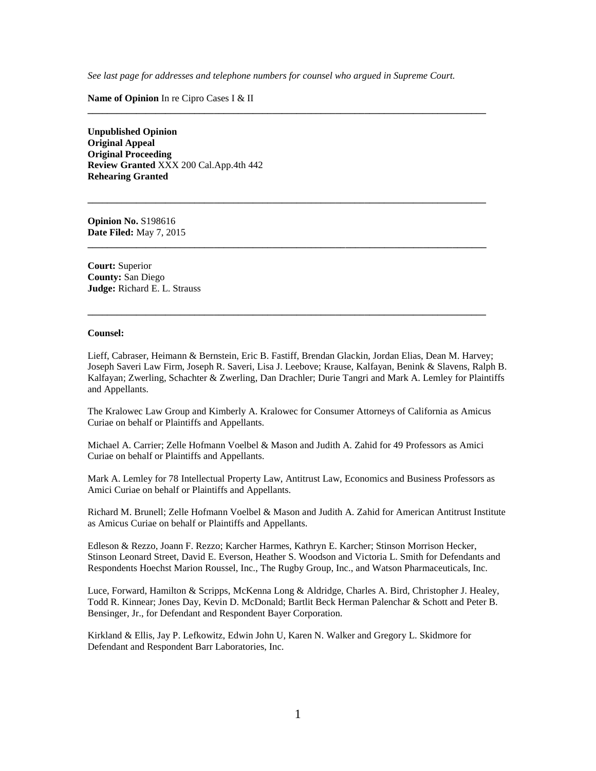*See last page for addresses and telephone numbers for counsel who argued in Supreme Court.*

**\_\_\_\_\_\_\_\_\_\_\_\_\_\_\_\_\_\_\_\_\_\_\_\_\_\_\_\_\_\_\_\_\_\_\_\_\_\_\_\_\_\_\_\_\_\_\_\_\_\_\_\_\_\_\_\_\_\_\_\_\_\_\_\_\_\_\_\_\_\_\_\_\_\_\_\_\_\_\_\_\_\_**

**\_\_\_\_\_\_\_\_\_\_\_\_\_\_\_\_\_\_\_\_\_\_\_\_\_\_\_\_\_\_\_\_\_\_\_\_\_\_\_\_\_\_\_\_\_\_\_\_\_\_\_\_\_\_\_\_\_\_\_\_\_\_\_\_\_\_\_\_\_\_\_\_\_\_\_\_\_\_\_\_\_\_**

**\_\_\_\_\_\_\_\_\_\_\_\_\_\_\_\_\_\_\_\_\_\_\_\_\_\_\_\_\_\_\_\_\_\_\_\_\_\_\_\_\_\_\_\_\_\_\_\_\_\_\_\_\_\_\_\_\_\_\_\_\_\_\_\_\_\_\_\_\_\_\_\_\_\_\_\_\_\_\_\_\_\_**

**\_\_\_\_\_\_\_\_\_\_\_\_\_\_\_\_\_\_\_\_\_\_\_\_\_\_\_\_\_\_\_\_\_\_\_\_\_\_\_\_\_\_\_\_\_\_\_\_\_\_\_\_\_\_\_\_\_\_\_\_\_\_\_\_\_\_\_\_\_\_\_\_\_\_\_\_\_\_\_\_\_\_**

**Name of Opinion** In re Cipro Cases I & II

**Unpublished Opinion Original Appeal Original Proceeding Review Granted** XXX 200 Cal.App.4th 442 **Rehearing Granted**

**Opinion No.** S198616 **Date Filed:** May 7, 2015

**Court:** Superior **County:** San Diego **Judge:** Richard E. L. Strauss

#### **Counsel:**

Lieff, Cabraser, Heimann & Bernstein, Eric B. Fastiff, Brendan Glackin, Jordan Elias, Dean M. Harvey; Joseph Saveri Law Firm, Joseph R. Saveri, Lisa J. Leebove; Krause, Kalfayan, Benink & Slavens, Ralph B. Kalfayan; Zwerling, Schachter & Zwerling, Dan Drachler; Durie Tangri and Mark A. Lemley for Plaintiffs and Appellants.

The Kralowec Law Group and Kimberly A. Kralowec for Consumer Attorneys of California as Amicus Curiae on behalf or Plaintiffs and Appellants.

Michael A. Carrier; Zelle Hofmann Voelbel & Mason and Judith A. Zahid for 49 Professors as Amici Curiae on behalf or Plaintiffs and Appellants.

Mark A. Lemley for 78 Intellectual Property Law, Antitrust Law, Economics and Business Professors as Amici Curiae on behalf or Plaintiffs and Appellants.

Richard M. Brunell; Zelle Hofmann Voelbel & Mason and Judith A. Zahid for American Antitrust Institute as Amicus Curiae on behalf or Plaintiffs and Appellants.

Edleson & Rezzo, Joann F. Rezzo; Karcher Harmes, Kathryn E. Karcher; Stinson Morrison Hecker, Stinson Leonard Street, David E. Everson, Heather S. Woodson and Victoria L. Smith for Defendants and Respondents Hoechst Marion Roussel, Inc., The Rugby Group, Inc., and Watson Pharmaceuticals, Inc.

Luce, Forward, Hamilton & Scripps, McKenna Long & Aldridge, Charles A. Bird, Christopher J. Healey, Todd R. Kinnear; Jones Day, Kevin D. McDonald; Bartlit Beck Herman Palenchar & Schott and Peter B. Bensinger, Jr., for Defendant and Respondent Bayer Corporation.

Kirkland & Ellis, Jay P. Lefkowitz, Edwin John U, Karen N. Walker and Gregory L. Skidmore for Defendant and Respondent Barr Laboratories, Inc.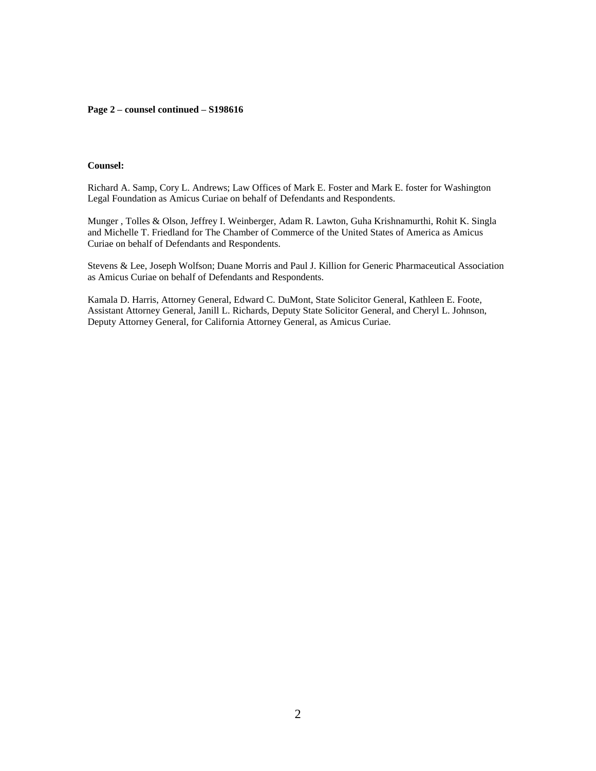#### **Page 2 – counsel continued – S198616**

### **Counsel:**

Richard A. Samp, Cory L. Andrews; Law Offices of Mark E. Foster and Mark E. foster for Washington Legal Foundation as Amicus Curiae on behalf of Defendants and Respondents.

Munger , Tolles & Olson, Jeffrey I. Weinberger, Adam R. Lawton, Guha Krishnamurthi, Rohit K. Singla and Michelle T. Friedland for The Chamber of Commerce of the United States of America as Amicus Curiae on behalf of Defendants and Respondents.

Stevens & Lee, Joseph Wolfson; Duane Morris and Paul J. Killion for Generic Pharmaceutical Association as Amicus Curiae on behalf of Defendants and Respondents.

Kamala D. Harris, Attorney General, Edward C. DuMont, State Solicitor General, Kathleen E. Foote, Assistant Attorney General, Janill L. Richards, Deputy State Solicitor General, and Cheryl L. Johnson, Deputy Attorney General, for California Attorney General, as Amicus Curiae.